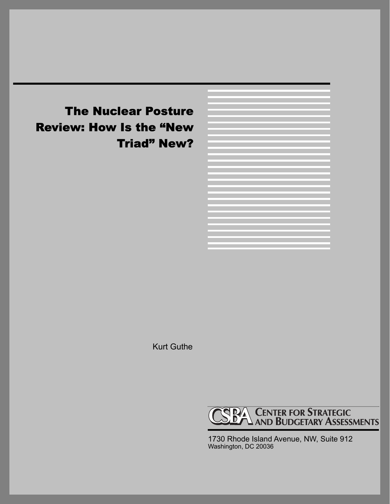# The Nuclear Posture Review: How Is the "New Triad" New?

Kurt Guthe



1730 Rhode Island Avenue, NW, Suite 912 Washington, DC 20036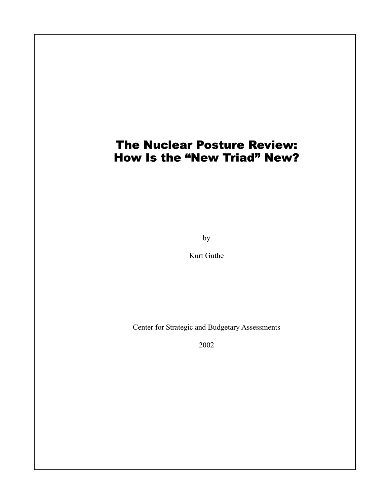## The Nuclear Posture Review: How Is the "New Triad" New?

by

Kurt Guthe

Center for Strategic and Budgetary Assessments

2002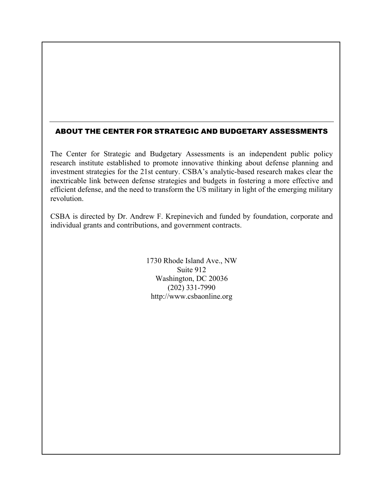#### ABOUT THE CENTER FOR STRATEGIC AND BUDGETARY ASSESSMENTS

The Center for Strategic and Budgetary Assessments is an independent public policy research institute established to promote innovative thinking about defense planning and investment strategies for the 21st century. CSBA's analytic-based research makes clear the inextricable link between defense strategies and budgets in fostering a more effective and efficient defense, and the need to transform the US military in light of the emerging military revolution.

CSBA is directed by Dr. Andrew F. Krepinevich and funded by foundation, corporate and individual grants and contributions, and government contracts.

> 1730 Rhode Island Ave., NW Suite 912 Washington, DC 20036 (202) 331-7990 http://www.csbaonline.org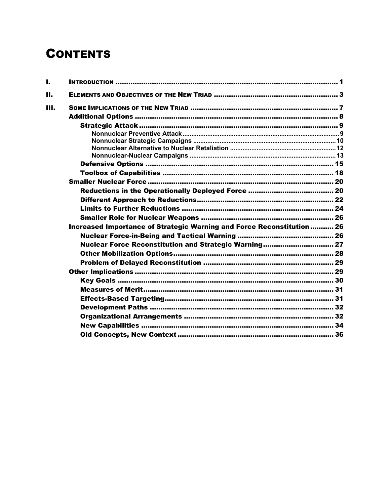# **CONTENTS**

| ı.   |                                                                       |  |
|------|-----------------------------------------------------------------------|--|
| П.   |                                                                       |  |
| III. |                                                                       |  |
|      |                                                                       |  |
|      |                                                                       |  |
|      |                                                                       |  |
|      |                                                                       |  |
|      |                                                                       |  |
|      |                                                                       |  |
|      |                                                                       |  |
|      |                                                                       |  |
|      |                                                                       |  |
|      |                                                                       |  |
|      |                                                                       |  |
|      |                                                                       |  |
|      |                                                                       |  |
|      | Increased Importance of Strategic Warning and Force Reconstitution 26 |  |
|      |                                                                       |  |
|      | Nuclear Force Reconstitution and Strategic Warning 27                 |  |
|      |                                                                       |  |
|      |                                                                       |  |
|      |                                                                       |  |
|      |                                                                       |  |
|      |                                                                       |  |
|      |                                                                       |  |
|      |                                                                       |  |
|      |                                                                       |  |
|      |                                                                       |  |
|      |                                                                       |  |
|      |                                                                       |  |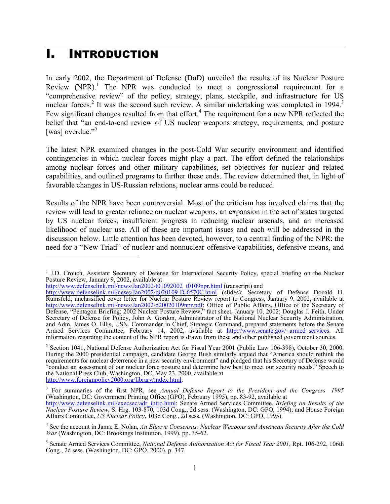## I. INTRODUCTION

In early 2002, the Department of Defense (DoD) unveiled the results of its Nuclear Posture Review  $(NPR)$ <sup>1</sup>. The NPR was conducted to meet a congressional requirement for a "comprehensive review" of the policy, strategy, plans, stockpile, and infrastructure for US nuclear forces.<sup>2</sup> It was the second such review. A similar undertaking was completed in 1994.<sup>3</sup> Few significant changes resulted from that effort.<sup>4</sup> The requirement for a new NPR reflected the belief that "an end-to-end review of US nuclear weapons strategy, requirements, and posture [was] overdue."<sup>5</sup>

The latest NPR examined changes in the post-Cold War security environment and identified contingencies in which nuclear forces might play a part. The effort defined the relationships among nuclear forces and other military capabilities, set objectives for nuclear and related capabilities, and outlined programs to further these ends. The review determined that, in light of favorable changes in US-Russian relations, nuclear arms could be reduced.

Results of the NPR have been controversial. Most of the criticism has involved claims that the review will lead to greater reliance on nuclear weapons, an expansion in the set of states targeted by US nuclear forces, insufficient progress in reducing nuclear arsenals, and an increased likelihood of nuclear use. All of these are important issues and each will be addressed in the discussion below. Little attention has been devoted, however, to a central finding of the NPR: the need for a "New Triad" of nuclear and nonnuclear offensive capabilities, defensive means, and

http://www.defenselink.mil/news/Jan2002/t01092002\_t0109npr.html (transcript) and

1

<sup>&</sup>lt;sup>1</sup> J.D. Crouch, Assistant Secretary of Defense for International Security Policy, special briefing on the Nuclear Posture Review, January 9, 2002, available at

http://www.defenselink.mil/news/Jan2002/g020109-D-6570C.html (slides); Secretary of Defense Donald H. Rumsfeld, unclassified cover letter for Nuclear Posture Review report to Congress, January 9, 2002, available at http://www.defenselink.mil/news/Jan2002/d20020109npr.pdf; Office of Public Affairs, Office of the Secretary of Defense, "Pentagon Briefing: 2002 Nuclear Posture Review," fact sheet, January 10, 2002; Douglas J. Feith, Under Secretary of Defense for Policy, John A. Gordon, Administrator of the National Nuclear Security Administration, and Adm. James O. Ellis, USN, Commander in Chief, Strategic Command, prepared statements before the Senate Armed Services Committee, February 14, 2002, available at http://www.senate.gov/~armed\_services. All information regarding the content of the NPR report is drawn from these and other published government sources.

<sup>&</sup>lt;sup>2</sup> Section 1041, National Defense Authorization Act for Fiscal Year 2001 (Public Law 106-398), October 30, 2000. During the 2000 presidential campaign, candidate George Bush similarly argued that "America should rethink the requirements for nuclear deterrence in a new security environment" and pledged that his Secretary of Defense would "conduct an assessment of our nuclear force posture and determine how best to meet our security needs." Speech to the National Press Club, Washington, DC, May 23, 2000, available at

http://www.foreignpolicy2000.org/library/index.html.

<sup>&</sup>lt;sup>3</sup> For summaries of the first NPR, see *Annual Defense Report to the President and the Congress*—1995 (Washington, DC: Government Printing Office (GPO), February 1995), pp. 83-92, available at

http://www.defenselink.mil/execsec/adr\_intro.html; Senate Armed Services Committee, *Briefing on Results of the Nuclear Posture Review*, S. Hrg. 103-870, 103d Cong., 2d sess. (Washington, DC: GPO, 1994); and House Foreign Affairs Committee, *US Nuclear Policy*, 103d Cong., 2d sess. (Washington, DC: GPO, 1995).

<sup>4</sup> See the account in Janne E. Nolan, *An Elusive Consensus: Nuclear Weapons and American Security After the Cold War* (Washington, DC: Brookings Institution, 1999), pp. 35-62.

<sup>5</sup> Senate Armed Services Committee, *National Defense Authorization Act for Fiscal Year 2001*, Rpt. 106-292, 106th Cong., 2d sess. (Washington, DC: GPO, 2000), p. 347.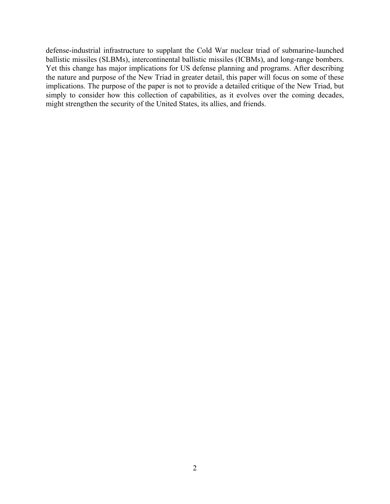defense-industrial infrastructure to supplant the Cold War nuclear triad of submarine-launched ballistic missiles (SLBMs), intercontinental ballistic missiles (ICBMs), and long-range bombers. Yet this change has major implications for US defense planning and programs. After describing the nature and purpose of the New Triad in greater detail, this paper will focus on some of these implications. The purpose of the paper is not to provide a detailed critique of the New Triad, but simply to consider how this collection of capabilities, as it evolves over the coming decades, might strengthen the security of the United States, its allies, and friends.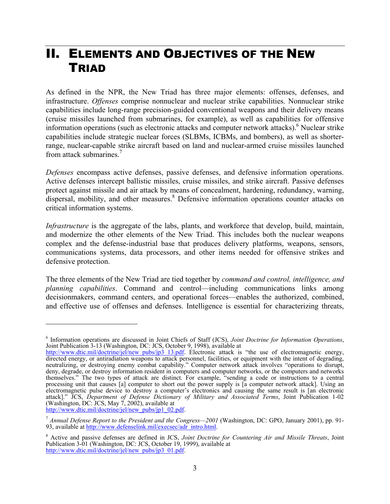## II. ELEMENTS AND OBJECTIVES OF THE NEW **TRIAD**

As defined in the NPR, the New Triad has three major elements: offenses, defenses, and infrastructure. *Offenses* comprise nonnuclear and nuclear strike capabilities. Nonnuclear strike capabilities include long-range precision-guided conventional weapons and their delivery means (cruise missiles launched from submarines, for example), as well as capabilities for offensive information operations (such as electronic attacks and computer network attacks).<sup>6</sup> Nuclear strike capabilities include strategic nuclear forces (SLBMs, ICBMs, and bombers), as well as shorterrange, nuclear-capable strike aircraft based on land and nuclear-armed cruise missiles launched from attack submarines.<sup>7</sup>

*Defenses* encompass active defenses, passive defenses, and defensive information operations. Active defenses intercept ballistic missiles, cruise missiles, and strike aircraft. Passive defenses protect against missile and air attack by means of concealment, hardening, redundancy, warning, dispersal, mobility, and other measures.<sup>8</sup> Defensive information operations counter attacks on critical information systems.

*Infrastructure* is the aggregate of the labs, plants, and workforce that develop, build, maintain, and modernize the other elements of the New Triad. This includes both the nuclear weapons complex and the defense-industrial base that produces delivery platforms, weapons, sensors, communications systems, data processors, and other items needed for offensive strikes and defensive protection.

The three elements of the New Triad are tied together by *command and control, intelligence, and planning capabilities*. Command and control—including communications links among decisionmakers, command centers, and operational forces—enables the authorized, combined, and effective use of offenses and defenses. Intelligence is essential for characterizing threats,

http://www.dtic.mil/doctrine/jel/new\_pubs/jp1\_02.pdf.

<u>.</u>

<sup>&</sup>lt;sup>6</sup> Information operations are discussed in Joint Chiefs of Staff (JCS), Joint Doctrine for Information Operations, Information operations are discussed in Joint Chiefs of Staff (JCS), *Joint Doctrine for Information Operations*, Joint Publication 3-13 (Washington, DC: JCS, October 9, 1998), available at

http://www.dtic.mil/doctrine/jel/new\_pubs/jp3\_13.pdf. Electronic attack is "the use of electromagnetic energy, directed energy, or antiradiation weapons to attack personnel, facilities, or equipment with the intent of degrading, neutralizing, or destroying enemy combat capability." Computer network attack involves "operations to disrupt, deny, degrade, or destroy information resident in computers and computer networks, or the computers and networks themselves." The two types of attack are distinct. For example, "sending a code or instructions to a central processing unit that causes [a] computer to short out the power supply is [a computer network attack]. Using an electromagnetic pulse device to destroy a computer's electronics and causing the same result is [an electronic attack]." JCS, *Department of Defense Dictionary of Military and Associated Terms*, Joint Publication 1-02 (Washington, DC: JCS, May 7, 2002), available at

<sup>7</sup> *Annual Defense Report to the President and the Congress—2001* (Washington, DC: GPO, January 2001), pp. 91- 93, available at http://www.defenselink.mil/execsec/adr\_intro.html.

<sup>8</sup> Active and passive defenses are defined in JCS, *Joint Doctrine for Countering Air and Missile Threats*, Joint Publication 3-01 (Washington, DC: JCS, October 19, 1999), available at http://www.dtic.mil/doctrine/jel/new\_pubs/jp3\_01.pdf.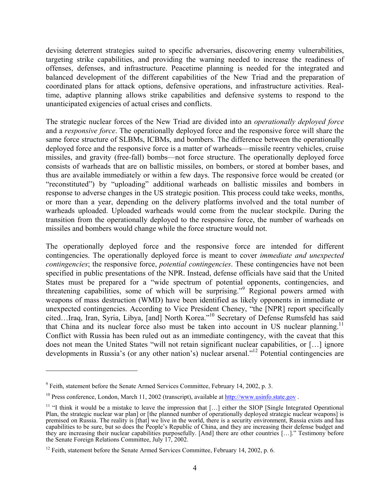devising deterrent strategies suited to specific adversaries, discovering enemy vulnerabilities, targeting strike capabilities, and providing the warning needed to increase the readiness of offenses, defenses, and infrastructure. Peacetime planning is needed for the integrated and balanced development of the different capabilities of the New Triad and the preparation of coordinated plans for attack options, defensive operations, and infrastructure activities. Realtime, adaptive planning allows strike capabilities and defensive systems to respond to the unanticipated exigencies of actual crises and conflicts.

The strategic nuclear forces of the New Triad are divided into an *operationally deployed force* and a *responsive force*. The operationally deployed force and the responsive force will share the same force structure of SLBMs, ICBMs, and bombers. The difference between the operationally deployed force and the responsive force is a matter of warheads—missile reentry vehicles, cruise missiles, and gravity (free-fall) bombs—not force structure. The operationally deployed force consists of warheads that are on ballistic missiles, on bombers, or stored at bomber bases, and thus are available immediately or within a few days. The responsive force would be created (or "reconstituted") by "uploading" additional warheads on ballistic missiles and bombers in response to adverse changes in the US strategic position. This process could take weeks, months, or more than a year, depending on the delivery platforms involved and the total number of warheads uploaded. Uploaded warheads would come from the nuclear stockpile. During the transition from the operationally deployed to the responsive force, the number of warheads on missiles and bombers would change while the force structure would not.

The operationally deployed force and the responsive force are intended for different contingencies. The operationally deployed force is meant to cover *immediate and unexpected contingencies*; the responsive force, *potential contingencies*. These contingencies have not been specified in public presentations of the NPR. Instead, defense officials have said that the United States must be prepared for a "wide spectrum of potential opponents, contingencies, and threatening capabilities, some of which will be surprising."<sup>9</sup> Regional powers armed with weapons of mass destruction (WMD) have been identified as likely opponents in immediate or unexpected contingencies. According to Vice President Cheney, "the [NPR] report specifically cited…Iraq, Iran, Syria, Libya, [and] North Korea."10 Secretary of Defense Rumsfeld has said that China and its nuclear force also must be taken into account in US nuclear planning.<sup>11</sup> Conflict with Russia has been ruled out as an immediate contingency, with the caveat that this does not mean the United States "will not retain significant nuclear capabilities, or […] ignore developments in Russia's (or any other nation's) nuclear arsenal."<sup>12</sup> Potential contingencies are

1

 $9^9$  Feith, statement before the Senate Armed Services Committee, February 14, 2002, p. 3.

 $10$  Press conference, London, March 11, 2002 (transcript), available at  $\frac{http://www.usinfo.state.gov}$ .

<sup>&</sup>lt;sup>11</sup> "I think it would be a mistake to leave the impression that  $[...]$  either the SIOP [Single Integrated Operational Plan, the strategic nuclear war plan] or [the planned number of operationally deployed strategic nuclear weapons] is premised on Russia. The reality is [that] we live in the world, there is a security environment, Russia exists and has capabilities to be sure, but so does the People's Republic of China, and they are increasing their defense budget and they are increasing their nuclear capabilities purposefully. [And] there are other countries […]." Testimony before the Senate Foreign Relations Committee, July 17, 2002.

 $12$  Feith, statement before the Senate Armed Services Committee, February 14, 2002, p. 6.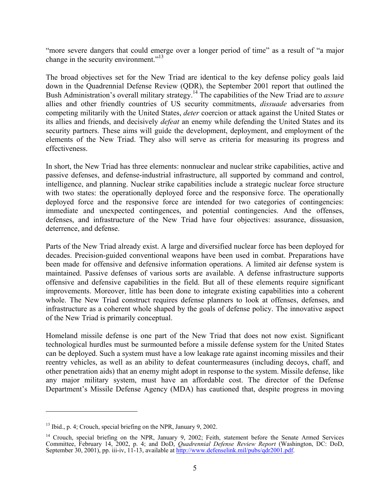"more severe dangers that could emerge over a longer period of time" as a result of "a major change in the security environment."<sup>13</sup>

The broad objectives set for the New Triad are identical to the key defense policy goals laid down in the Quadrennial Defense Review (QDR), the September 2001 report that outlined the Bush Administration's overall military strategy.14 The capabilities of the New Triad are to *assure* allies and other friendly countries of US security commitments, *dissuade* adversaries from competing militarily with the United States, *deter* coercion or attack against the United States or its allies and friends, and decisively *defeat* an enemy while defending the United States and its security partners. These aims will guide the development, deployment, and employment of the elements of the New Triad. They also will serve as criteria for measuring its progress and effectiveness.

In short, the New Triad has three elements: nonnuclear and nuclear strike capabilities, active and passive defenses, and defense-industrial infrastructure, all supported by command and control, intelligence, and planning. Nuclear strike capabilities include a strategic nuclear force structure with two states: the operationally deployed force and the responsive force. The operationally deployed force and the responsive force are intended for two categories of contingencies: immediate and unexpected contingences, and potential contingencies. And the offenses, defenses, and infrastructure of the New Triad have four objectives: assurance, dissuasion, deterrence, and defense.

Parts of the New Triad already exist. A large and diversified nuclear force has been deployed for decades. Precision-guided conventional weapons have been used in combat. Preparations have been made for offensive and defensive information operations. A limited air defense system is maintained. Passive defenses of various sorts are available. A defense infrastructure supports offensive and defensive capabilities in the field. But all of these elements require significant improvements. Moreover, little has been done to integrate existing capabilities into a coherent whole. The New Triad construct requires defense planners to look at offenses, defenses, and infrastructure as a coherent whole shaped by the goals of defense policy. The innovative aspect of the New Triad is primarily conceptual.

Homeland missile defense is one part of the New Triad that does not now exist. Significant technological hurdles must be surmounted before a missile defense system for the United States can be deployed. Such a system must have a low leakage rate against incoming missiles and their reentry vehicles, as well as an ability to defeat countermeasures (including decoys, chaff, and other penetration aids) that an enemy might adopt in response to the system. Missile defense, like any major military system, must have an affordable cost. The director of the Defense Department's Missile Defense Agency (MDA) has cautioned that, despite progress in moving

 $13$  Ibid., p. 4; Crouch, special briefing on the NPR, January 9, 2002.

<sup>&</sup>lt;sup>14</sup> Crouch, special briefing on the NPR, January 9, 2002; Feith, statement before the Senate Armed Services Committee, February 14, 2002, p. 4; and DoD, *Quadrennial Defense Review Report* (Washington, DC: DoD, September 30, 2001), pp. iii-iv, 11-13, available at http://www.defenselink.mil/pubs/qdr2001.pdf.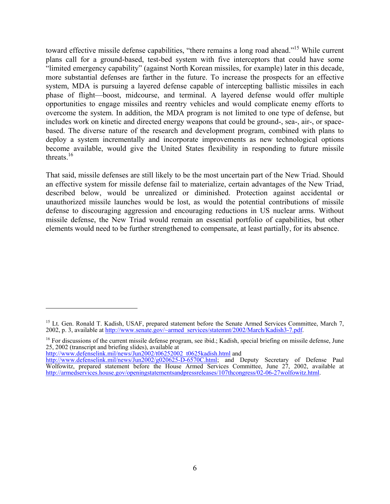toward effective missile defense capabilities, "there remains a long road ahead."15 While current plans call for a ground-based, test-bed system with five interceptors that could have some "limited emergency capability" (against North Korean missiles, for example) later in this decade, more substantial defenses are farther in the future. To increase the prospects for an effective system, MDA is pursuing a layered defense capable of intercepting ballistic missiles in each phase of flight—boost, midcourse, and terminal. A layered defense would offer multiple opportunities to engage missiles and reentry vehicles and would complicate enemy efforts to overcome the system. In addition, the MDA program is not limited to one type of defense, but includes work on kinetic and directed energy weapons that could be ground-, sea-, air-, or spacebased. The diverse nature of the research and development program, combined with plans to deploy a system incrementally and incorporate improvements as new technological options become available, would give the United States flexibility in responding to future missile threats. $16$ 

That said, missile defenses are still likely to be the most uncertain part of the New Triad. Should an effective system for missile defense fail to materialize, certain advantages of the New Triad, described below, would be unrealized or diminished. Protection against accidental or unauthorized missile launches would be lost, as would the potential contributions of missile defense to discouraging aggression and encouraging reductions in US nuclear arms. Without missile defense, the New Triad would remain an essential portfolio of capabilities, but other elements would need to be further strengthened to compensate, at least partially, for its absence.

http://www.defenselink.mil/news/Jun2002/t06252002\_t0625kadish.html and

<sup>&</sup>lt;sup>15</sup> Lt. Gen. Ronald T. Kadish, USAF, prepared statement before the Senate Armed Services Committee, March 7, 2002, p. 3, available at http://www.senate.gov/~armed\_services/statemnt/2002/March/Kadish3-7.pdf.

<sup>&</sup>lt;sup>16</sup> For discussions of the current missile defense program, see ibid.; Kadish, special briefing on missile defense, June 25, 2002 (transcript and briefing slides), available at

http://www.defenselink.mil/news/Jun2002/g020625-D-6570C.html; and Deputy Secretary of Defense Paul Wolfowitz, prepared statement before the House Armed Services Committee, June 27, 2002, available at http://armedservices.house.gov/openingstatementsandpressreleases/107thcongress/02-06-27wolfowitz.html.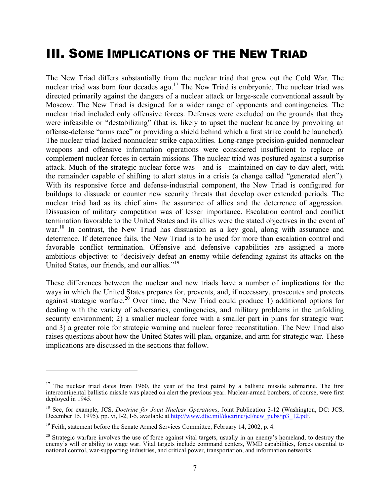## III. SOME IMPLICATIONS OF THE NEW TRIAD

The New Triad differs substantially from the nuclear triad that grew out the Cold War. The nuclear triad was born four decades ago.<sup>17</sup> The New Triad is embryonic. The nuclear triad was directed primarily against the dangers of a nuclear attack or large-scale conventional assault by Moscow. The New Triad is designed for a wider range of opponents and contingencies. The nuclear triad included only offensive forces. Defenses were excluded on the grounds that they were infeasible or "destabilizing" (that is, likely to upset the nuclear balance by provoking an offense-defense "arms race" or providing a shield behind which a first strike could be launched). The nuclear triad lacked nonnuclear strike capabilities. Long-range precision-guided nonnuclear weapons and offensive information operations were considered insufficient to replace or complement nuclear forces in certain missions. The nuclear triad was postured against a surprise attack. Much of the strategic nuclear force was—and is—maintained on day-to-day alert, with the remainder capable of shifting to alert status in a crisis (a change called "generated alert"). With its responsive force and defense-industrial component, the New Triad is configured for buildups to dissuade or counter new security threats that develop over extended periods. The nuclear triad had as its chief aims the assurance of allies and the deterrence of aggression. Dissuasion of military competition was of lesser importance. Escalation control and conflict termination favorable to the United States and its allies were the stated objectives in the event of war.<sup>18</sup> In contrast, the New Triad has dissuasion as a key goal, along with assurance and deterrence. If deterrence fails, the New Triad is to be used for more than escalation control and favorable conflict termination. Offensive and defensive capabilities are assigned a more ambitious objective: to "decisively defeat an enemy while defending against its attacks on the United States, our friends, and our allies."19

These differences between the nuclear and new triads have a number of implications for the ways in which the United States prepares for, prevents, and, if necessary, prosecutes and protects against strategic warfare.<sup>20</sup> Over time, the New Triad could produce 1) additional options for dealing with the variety of adversaries, contingencies, and military problems in the unfolding security environment; 2) a smaller nuclear force with a smaller part in plans for strategic war; and 3) a greater role for strategic warning and nuclear force reconstitution. The New Triad also raises questions about how the United States will plan, organize, and arm for strategic war. These implications are discussed in the sections that follow.

<sup>&</sup>lt;sup>17</sup> The nuclear triad dates from 1960, the year of the first patrol by a ballistic missile submarine. The first intercontinental ballistic missile was placed on alert the previous year. Nuclear-armed bombers, of course, were first deployed in 1945.

<sup>&</sup>lt;sup>18</sup> See, for example, JCS, *Doctrine for Joint Nuclear Operations*, Joint Publication 3-12 (Washington, DC: JCS, December 15, 1995), pp. vi, I-2, I-5, available at http://www.dtic.mil/doctrine/jel/new\_pubs/jp3\_12.pdf.

 $19$  Feith, statement before the Senate Armed Services Committee, February 14, 2002, p. 4.

 $20$  Strategic warfare involves the use of force against vital targets, usually in an enemy's homeland, to destroy the enemy's will or ability to wage war. Vital targets include command centers, WMD capabilities, forces essential to national control, war-supporting industries, and critical power, transportation, and information networks.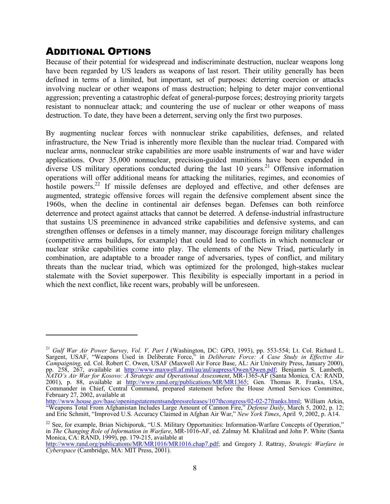### ADDITIONAL OPTIONS

1

Because of their potential for widespread and indiscriminate destruction, nuclear weapons long have been regarded by US leaders as weapons of last resort. Their utility generally has been defined in terms of a limited, but important, set of purposes: deterring coercion or attacks involving nuclear or other weapons of mass destruction; helping to deter major conventional aggression; preventing a catastrophic defeat of general-purpose forces; destroying priority targets resistant to nonnuclear attack; and countering the use of nuclear or other weapons of mass destruction. To date, they have been a deterrent, serving only the first two purposes.

By augmenting nuclear forces with nonnuclear strike capabilities, defenses, and related infrastructure, the New Triad is inherently more flexible than the nuclear triad. Compared with nuclear arms, nonnuclear strike capabilities are more usable instruments of war and have wider applications. Over 35,000 nonnuclear, precision-guided munitions have been expended in diverse US military operations conducted during the last 10 years.<sup>21</sup> Offensive information operations will offer additional means for attacking the militaries, regimes, and economies of hostile powers.<sup>22</sup> If missile defenses are deployed and effective, and other defenses are augmented, strategic offensive forces will regain the defensive complement absent since the 1960s, when the decline in continental air defenses began. Defenses can both reinforce deterrence and protect against attacks that cannot be deterred. A defense-industrial infrastructure that sustains US preeminence in advanced strike capabilities and defensive systems, and can strengthen offenses or defenses in a timely manner, may discourage foreign military challenges (competitive arms buildups, for example) that could lead to conflicts in which nonnuclear or nuclear strike capabilities come into play. The elements of the New Triad, particularly in combination, are adaptable to a broader range of adversaries, types of conflict, and military threats than the nuclear triad, which was optimized for the prolonged, high-stakes nuclear stalemate with the Soviet superpower. This flexibility is especially important in a period in which the next conflict, like recent wars, probably will be unforeseen.

<sup>21</sup> *Gulf War Air Power Survey, Vol. V, Part I* (Washington, DC: GPO, 1993), pp. 553-554; Lt. Col. Richard L. Sargent, USAF, "Weapons Used in Deliberate Force," in *Deliberate Force: A Case Study in Effective Air Campaigning,* ed. Col. Robert C. Owen, USAF (Maxwell Air Force Base, AL: Air University Press, January 2000), pp. 258, 267, available at http://www.maxwell.af.mil/au/aul/aupress/Owen/Owen.pdf; Benjamin S. Lambeth, *NATO's Air War for Kosovo: A Strategic and Operational Assessment*, MR-1365-AF (Santa Monica, CA: RAND, 2001), p. 88, available at http://www.rand.org/publications/MR/MR1365; Gen. Thomas R. Franks, USA, Commander in Chief, Central Command, prepared statement before the House Armed Services Committee, February 27, 2002, available at

http://www.house.gov/hasc/openingstatementsandpressreleases/107thcongress/02-02-27franks.html; William Arkin, "Weapons Total From Afghanistan Includes Large Amount of Cannon Fire," *Defense Daily*, March 5, 2002, p. 12; and Eric Schmitt, "Improved U.S. Accuracy Claimed in Afghan Air War," *New York Times*, April 9, 2002, p. A14.

<sup>&</sup>lt;sup>22</sup> See, for example, Brian Nichiporuk, "U.S. Military Opportunities: Information-Warfare Concepts of Operation," in *The Changing Role of Information in Warfare*, MR-1016-AF, ed. Zalmay M. Khalilzad and John P. White (Santa Monica, CA: RAND, 1999), pp. 179-215, available at

http://www.rand.org/publications/MR/MR1016/MR1016.chap7.pdf; and Gregory J. Rattray, *Strategic Warfare in Cyberspace* (Cambridge, MA: MIT Press, 2001).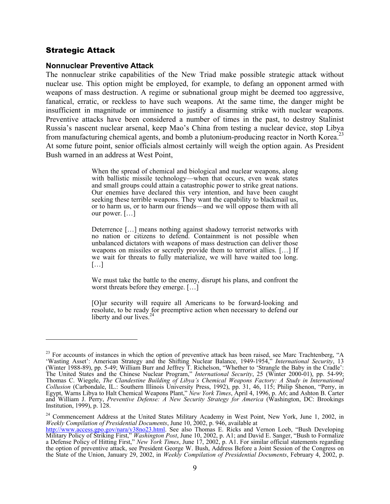#### Strategic Attack

 $\overline{a}$ 

#### **Nonnuclear Preventive Attack**

The nonnuclear strike capabilities of the New Triad make possible strategic attack without nuclear use. This option might be employed, for example, to defang an opponent armed with weapons of mass destruction. A regime or subnational group might be deemed too aggressive, fanatical, erratic, or reckless to have such weapons. At the same time, the danger might be insufficient in magnitude or imminence to justify a disarming strike with nuclear weapons. Preventive attacks have been considered a number of times in the past, to destroy Stalinist Russia's nascent nuclear arsenal, keep Mao's China from testing a nuclear device, stop Libya from manufacturing chemical agents, and bomb a plutonium-producing reactor in North Korea.<sup>23</sup> At some future point, senior officials almost certainly will weigh the option again. As President Bush warned in an address at West Point,

> When the spread of chemical and biological and nuclear weapons, along with ballistic missile technology—when that occurs, even weak states and small groups could attain a catastrophic power to strike great nations. Our enemies have declared this very intention, and have been caught seeking these terrible weapons. They want the capability to blackmail us, or to harm us, or to harm our friends—and we will oppose them with all our power. […]

> Deterrence […] means nothing against shadowy terrorist networks with no nation or citizens to defend. Containment is not possible when unbalanced dictators with weapons of mass destruction can deliver those weapons on missiles or secretly provide them to terrorist allies. […] If we wait for threats to fully materialize, we will have waited too long.  $[...]$

> We must take the battle to the enemy, disrupt his plans, and confront the worst threats before they emerge. [...]

> [O]ur security will require all Americans to be forward-looking and resolute, to be ready for preemptive action when necessary to defend our liberty and our lives. $<sup>2</sup>$ </sup>

 $23$  For accounts of instances in which the option of preventive attack has been raised, see Marc Trachtenberg, "A 'Wasting Asset': American Strategy and the Shifting Nuclear Balance, 1949-1954," *International Security*, 13 (Winter 1988-89), pp. 5-49; William Burr and Jeffrey T. Richelson, "Whether to 'Strangle the Baby in the Cradle': The United States and the Chinese Nuclear Program," *International Security*, 25 (Winter 2000-01), pp. 54-99; Thomas C. Wiegele, *The Clandestine Building of Libya's Chemical Weapons Factory: A Study in International Collusion* (Carbondale, IL.: Southern Illinois University Press, 1992), pp. 31, 46, 115; Philip Shenon, "Perry, in Egypt, Warns Libya to Halt Chemical Weapons Plant," *New York Times*, April 4, 1996, p. A6; and Ashton B. Carter and William J. Perry, *Preventive Defense: A New Security Strategy for America* (Washington, DC: Brookings Institution, 1999), p. 128.

<sup>&</sup>lt;sup>24</sup> Commencement Address at the United States Military Academy in West Point, New York, June 1, 2002, in *Weekly Compilation of Presidential Documents*, June 10, 2002, p. 946, available at

http://www.access.gpo.gov/nara/v38no23.html. See also Thomas E. Ricks and Vernon Loeb, "Bush Developing Military Policy of Striking First," *Washington Post*, June 10, 2002, p. A1; and David E. Sanger, "Bush to Formalize a Defense Policy of Hitting First," *New York Times*, June 17, 2002, p. A1. For similar official statements regarding the option of preventive attack, see President George W. Bush, Address Before a Joint Session of the Congress on the State of the Union, January 29, 2002, in *Weekly Compilation of Presidential Documents*, February 4, 2002, p.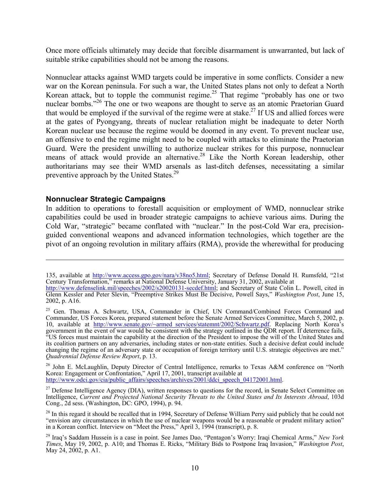Once more officials ultimately may decide that forcible disarmament is unwarranted, but lack of suitable strike capabilities should not be among the reasons.

Nonnuclear attacks against WMD targets could be imperative in some conflicts. Consider a new war on the Korean peninsula. For such a war, the United States plans not only to defeat a North Korean attack, but to topple the communist regime.<sup>25</sup> That regime "probably has one or two nuclear bombs."<sup>26</sup> The one or two weapons are thought to serve as an atomic Praetorian Guard that would be employed if the survival of the regime were at stake.<sup>27</sup> If US and allied forces were at the gates of Pyongyang, threats of nuclear retaliation might be inadequate to deter North Korean nuclear use because the regime would be doomed in any event. To prevent nuclear use, an offensive to end the regime might need to be coupled with attacks to eliminate the Praetorian Guard. Were the president unwilling to authorize nuclear strikes for this purpose, nonnuclear means of attack would provide an alternative.<sup>28</sup> Like the North Korean leadership, other authoritarians may see their WMD arsenals as last-ditch defenses, necessitating a similar preventive approach by the United States.<sup>29</sup>

#### **Nonnuclear Strategic Campaigns**

 $\overline{a}$ 

In addition to operations to forestall acquisition or employment of WMD, nonnuclear strike capabilities could be used in broader strategic campaigns to achieve various aims. During the Cold War, "strategic" became conflated with "nuclear." In the post-Cold War era, precisionguided conventional weapons and advanced information technologies, which together are the pivot of an ongoing revolution in military affairs (RMA), provide the wherewithal for producing

<sup>135,</sup> available at http://www.access.gpo.gov/nara/v38no5.html; Secretary of Defense Donald H. Rumsfeld, "21st Century Transformation," remarks at National Defense University, January 31, 2002, available at

http://www.defenselink.mil/speeches/2002/s20020131-secdef.html; and Secretary of State Colin L. Powell, cited in Glenn Kessler and Peter Slevin, "Preemptive Strikes Must Be Decisive, Powell Says," *Washington Post*, June 15, 2002, p. A16.

<sup>&</sup>lt;sup>25</sup> Gen. Thomas A. Schwartz, USA, Commander in Chief, UN Command/Combined Forces Command and Commander, US Forces Korea, prepared statement before the Senate Armed Services Committee, March 5, 2002, p. 10, available at http://www.senate.gov/~armed\_services/statemnt/2002/Schwartz.pdf. Replacing North Korea's government in the event of war would be consistent with the strategy outlined in the QDR report. If deterrence fails, "US forces must maintain the capability at the direction of the President to impose the will of the United States and its coalition partners on any adversaries, including states or non-state entities. Such a decisive defeat could include changing the regime of an adversary state or occupation of foreign territory until U.S. strategic objectives are met." *Quadrennial Defense Review Report*, p. 13.

<sup>&</sup>lt;sup>26</sup> John E. McLaughlin, Deputy Director of Central Intelligence, remarks to Texas A&M conference on "North Korea: Engagement or Confrontation," April 17, 2001, transcript available at http://www.odci.gov/cia/public\_affairs/speeches/archives/2001/ddci\_speech\_04172001.html.

<sup>&</sup>lt;sup>27</sup> Defense Intelligence Agency (DIA), written responses to questions for the record, in Senate Select Committee on Intelligence, *Current and Projected National Security Threats to the United States and Its Interests Abroad*, 103d Cong., 2d sess. (Washington, DC: GPO, 1994), p. 94.

 $28$  In this regard it should be recalled that in 1994, Secretary of Defense William Perry said publicly that he could not "envision any circumstances in which the use of nuclear weapons would be a reasonable or prudent military action" in a Korean conflict. Interview on "Meet the Press," April 3, 1994 (transcript), p. 8.

<sup>29</sup> Iraq's Saddam Hussein is a case in point. See James Dao, "Pentagon's Worry: Iraqi Chemical Arms," *New York Times*, May 19, 2002, p. A10; and Thomas E. Ricks, "Military Bids to Postpone Iraq Invasion," *Washington Post*, May 24, 2002, p. A1.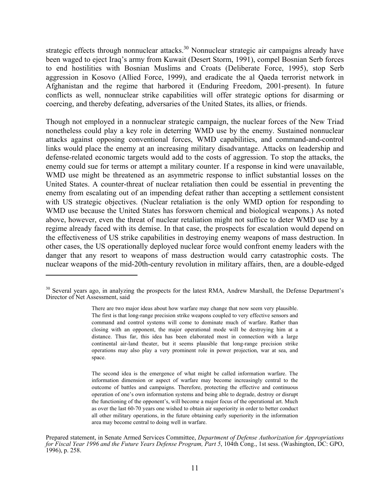strategic effects through nonnuclear attacks.<sup>30</sup> Nonnuclear strategic air campaigns already have been waged to eject Iraq's army from Kuwait (Desert Storm, 1991), compel Bosnian Serb forces to end hostilities with Bosnian Muslims and Croats (Deliberate Force, 1995), stop Serb aggression in Kosovo (Allied Force, 1999), and eradicate the al Qaeda terrorist network in Afghanistan and the regime that harbored it (Enduring Freedom, 2001-present). In future conflicts as well, nonnuclear strike capabilities will offer strategic options for disarming or coercing, and thereby defeating, adversaries of the United States, its allies, or friends.

Though not employed in a nonnuclear strategic campaign, the nuclear forces of the New Triad nonetheless could play a key role in deterring WMD use by the enemy. Sustained nonnuclear attacks against opposing conventional forces, WMD capabilities, and command-and-control links would place the enemy at an increasing military disadvantage. Attacks on leadership and defense-related economic targets would add to the costs of aggression. To stop the attacks, the enemy could sue for terms or attempt a military counter. If a response in kind were unavailable, WMD use might be threatened as an asymmetric response to inflict substantial losses on the United States. A counter-threat of nuclear retaliation then could be essential in preventing the enemy from escalating out of an impending defeat rather than accepting a settlement consistent with US strategic objectives. (Nuclear retaliation is the only WMD option for responding to WMD use because the United States has forsworn chemical and biological weapons.) As noted above, however, even the threat of nuclear retaliation might not suffice to deter WMD use by a regime already faced with its demise. In that case, the prospects for escalation would depend on the effectiveness of US strike capabilities in destroying enemy weapons of mass destruction. In other cases, the US operationally deployed nuclear force would confront enemy leaders with the danger that any resort to weapons of mass destruction would carry catastrophic costs. The nuclear weapons of the mid-20th-century revolution in military affairs, then, are a double-edged

1

<sup>&</sup>lt;sup>30</sup> Several years ago, in analyzing the prospects for the latest RMA, Andrew Marshall, the Defense Department's Director of Net Assessment, said

There are two major ideas about how warfare may change that now seem very plausible. The first is that long-range precision strike weapons coupled to very effective sensors and command and control systems will come to dominate much of warfare. Rather than closing with an opponent, the major operational mode will be destroying him at a distance. Thus far, this idea has been elaborated most in connection with a large continental air-land theater, but it seems plausible that long-range precision strike operations may also play a very prominent role in power projection, war at sea, and space.

The second idea is the emergence of what might be called information warfare. The information dimension or aspect of warfare may become increasingly central to the outcome of battles and campaigns. Therefore, protecting the effective and continuous operation of one's own information systems and being able to degrade, destroy or disrupt the functioning of the opponent's, will become a major focus of the operational art. Much as over the last 60-70 years one wished to obtain air superiority in order to better conduct all other military operations, in the future obtaining early superiority in the information area may become central to doing well in warfare.

Prepared statement, in Senate Armed Services Committee, *Department of Defense Authorization for Appropriations for Fiscal Year 1996 and the Future Years Defense Program, Part 5*, 104th Cong., 1st sess. (Washington, DC: GPO, 1996), p. 258.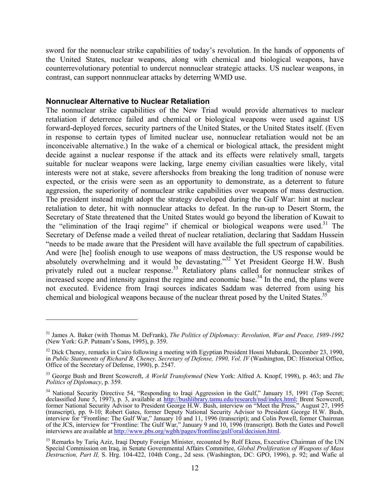sword for the nonnuclear strike capabilities of today's revolution. In the hands of opponents of the United States, nuclear weapons, along with chemical and biological weapons, have counterrevolutionary potential to undercut nonnuclear strategic attacks. US nuclear weapons, in contrast, can support nonnnuclear attacks by deterring WMD use.

#### **Nonnuclear Alternative to Nuclear Retaliation**

 $\overline{a}$ 

The nonnuclear strike capabilities of the New Triad would provide alternatives to nuclear retaliation if deterrence failed and chemical or biological weapons were used against US forward-deployed forces, security partners of the United States, or the United States itself. (Even in response to certain types of limited nuclear use, nonnuclear retaliation would not be an inconceivable alternative.) In the wake of a chemical or biological attack, the president might decide against a nuclear response if the attack and its effects were relatively small, targets suitable for nuclear weapons were lacking, large enemy civilian casualties were likely, vital interests were not at stake, severe aftershocks from breaking the long tradition of nonuse were expected, or the crisis were seen as an opportunity to demonstrate, as a deterrent to future aggression, the superiority of nonnuclear strike capabilities over weapons of mass destruction. The president instead might adopt the strategy developed during the Gulf War: hint at nuclear retaliation to deter, hit with nonnuclear attacks to defeat. In the run-up to Desert Storm, the Secretary of State threatened that the United States would go beyond the liberation of Kuwait to the "elimination of the Iraqi regime" if chemical or biological weapons were used.<sup>31</sup> The Secretary of Defense made a veiled threat of nuclear retaliation, declaring that Saddam Hussein "needs to be made aware that the President will have available the full spectrum of capabilities. And were [he] foolish enough to use weapons of mass destruction, the US response would be absolutely overwhelming and it would be devastating."<sup>32</sup> Yet President George H.W. Bush privately ruled out a nuclear response.<sup>33</sup> Retaliatory plans called for nonnuclear strikes of increased scope and intensity against the regime and economic base.<sup>34</sup> In the end, the plans were not executed. Evidence from Iraqi sources indicates Saddam was deterred from using his chemical and biological weapons because of the nuclear threat posed by the United States.<sup>35</sup>

<sup>31</sup> James A. Baker (with Thomas M. DeFrank), *The Politics of Diplomacy: Revolution, War and Peace, 1989-1992* (New York: G.P. Putnam's Sons, 1995), p. 359.

<sup>&</sup>lt;sup>32</sup> Dick Cheney, remarks in Cairo following a meeting with Egyptian President Hosni Mubarak, December 23, 1990, in *Public Statements of Richard B. Cheney, Secretary of Defense, 1990, Vol. IV* (Washington, DC: Historical Office, Office of the Secretary of Defense, 1990), p. 2547.

<sup>33</sup> George Bush and Brent Scowcroft, *A World Transformed* (New York: Alfred A. Knopf, 1998), p. 463; and *The Politics of Diplomacy*, p. 359.

<sup>&</sup>lt;sup>34</sup> National Security Directive 54, "Responding to Iraqi Aggression in the Gulf," January 15, 1991 (Top Secret; declassified June 5, 1997), p. 3, available at http://bushlibrary.tamu.edu/research/nsd/index.html; Brent Scowcroft, former National Security Advisor to President George H.W. Bush, interview on "Meet the Press," August 27, 1995 (transcript), pp. 9-10; Robert Gates, former Deputy National Security Advisor to President George H.W. Bush, interview for "Frontline: The Gulf War," January 10 and 11, 1996 (transcript); and Colin Powell, former Chairman of the JCS, interview for "Frontline: The Gulf War," January 9 and 10, 1996 (transcript). Both the Gates and Powell interviews are available at http://www.pbs.org/wgbh/pages/frontline/gulf/oral/decision.html.

<sup>&</sup>lt;sup>35</sup> Remarks by Tariq Aziz, Iraqi Deputy Foreign Minister, recounted by Rolf Ekeus, Executive Chairman of the UN Special Commission on Iraq, in Senate Governmental Affairs Committee, *Global Proliferation of Weapons of Mass Destruction, Part II,* S. Hrg. 104-422, 104th Cong., 2d sess. (Washington, DC: GPO, 1996), p. 92; and Wafic al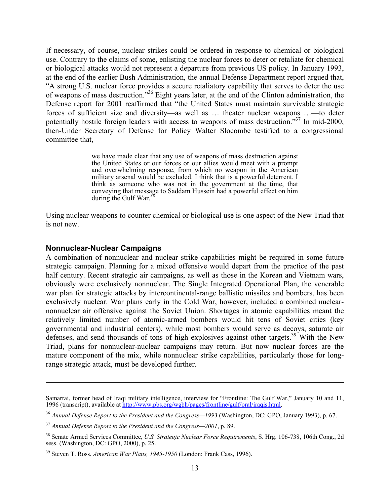If necessary, of course, nuclear strikes could be ordered in response to chemical or biological use. Contrary to the claims of some, enlisting the nuclear forces to deter or retaliate for chemical or biological attacks would not represent a departure from previous US policy. In January 1993, at the end of the earlier Bush Administration, the annual Defense Department report argued that, "A strong U.S. nuclear force provides a secure retaliatory capability that serves to deter the use of weapons of mass destruction."<sup>36</sup> Eight years later, at the end of the Clinton administration, the Defense report for 2001 reaffirmed that "the United States must maintain survivable strategic forces of sufficient size and diversity—as well as … theater nuclear weapons …—to deter potentially hostile foreign leaders with access to weapons of mass destruction."37 In mid-2000, then-Under Secretary of Defense for Policy Walter Slocombe testified to a congressional committee that,

> we have made clear that any use of weapons of mass destruction against the United States or our forces or our allies would meet with a prompt and overwhelming response, from which no weapon in the American military arsenal would be excluded. I think that is a powerful deterrent. I think as someone who was not in the government at the time, that conveying that message to Saddam Hussein had a powerful effect on him during the Gulf War. $3$

Using nuclear weapons to counter chemical or biological use is one aspect of the New Triad that is not new.

#### **Nonnuclear-Nuclear Campaigns**

1

A combination of nonnuclear and nuclear strike capabilities might be required in some future strategic campaign. Planning for a mixed offensive would depart from the practice of the past half century. Recent strategic air campaigns, as well as those in the Korean and Vietnam wars, obviously were exclusively nonnuclear. The Single Integrated Operational Plan, the venerable war plan for strategic attacks by intercontinental-range ballistic missiles and bombers, has been exclusively nuclear. War plans early in the Cold War, however, included a combined nuclearnonnuclear air offensive against the Soviet Union. Shortages in atomic capabilities meant the relatively limited number of atomic-armed bombers would hit tens of Soviet cities (key governmental and industrial centers), while most bombers would serve as decoys, saturate air defenses, and send thousands of tons of high explosives against other targets.<sup>39</sup> With the New Triad, plans for nonnuclear-nuclear campaigns may return. But now nuclear forces are the mature component of the mix, while nonnuclear strike capabilities, particularly those for longrange strategic attack, must be developed further.

Samarrai, former head of Iraqi military intelligence, interview for "Frontline: The Gulf War," January 10 and 11, 1996 (transcript), available at http://www.pbs.org/wgbh/pages/frontline/gulf/oral/iraqis.html.

<sup>36</sup> *Annual Defense Report to the President and the Congress—1993* (Washington, DC: GPO, January 1993), p. 67.

<sup>37</sup> *Annual Defense Report to the President and the Congress—2001*, p. 89.

<sup>38</sup> Senate Armed Services Committee, *U.S. Strategic Nuclear Force Requirements*, S. Hrg. 106-738, 106th Cong., 2d sess. (Washington, DC: GPO, 2000), p. 25.

<sup>39</sup> Steven T. Ross, *American War Plans, 1945-1950* (London: Frank Cass, 1996).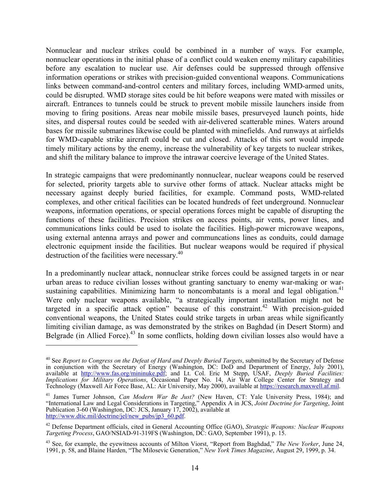Nonnuclear and nuclear strikes could be combined in a number of ways. For example, nonnuclear operations in the initial phase of a conflict could weaken enemy military capabilities before any escalation to nuclear use. Air defenses could be suppressed through offensive information operations or strikes with precision-guided conventional weapons. Communications links between command-and-control centers and military forces, including WMD-armed units, could be disrupted. WMD storage sites could be hit before weapons were mated with missiles or aircraft. Entrances to tunnels could be struck to prevent mobile missile launchers inside from moving to firing positions. Areas near mobile missile bases, presurveyed launch points, hide sites, and dispersal routes could be seeded with air-delivered scatterable mines. Waters around bases for missile submarines likewise could be planted with minefields. And runways at airfields for WMD-capable strike aircraft could be cut and closed. Attacks of this sort would impede timely military actions by the enemy, increase the vulnerability of key targets to nuclear strikes, and shift the military balance to improve the intrawar coercive leverage of the United States.

In strategic campaigns that were predominantly nonnuclear, nuclear weapons could be reserved for selected, priority targets able to survive other forms of attack. Nuclear attacks might be necessary against deeply buried facilities, for example. Command posts, WMD-related complexes, and other critical facilities can be located hundreds of feet underground. Nonnuclear weapons, information operations, or special operations forces might be capable of disrupting the functions of these facilities. Precision strikes on access points, air vents, power lines, and communications links could be used to isolate the facilities. High-power microwave weapons, using external antenna arrays and power and communcations lines as conduits, could damage electronic equipment inside the facilities. But nuclear weapons would be required if physical destruction of the facilities were necessary.<sup>40</sup>

In a predominantly nuclear attack, nonnuclear strike forces could be assigned targets in or near urban areas to reduce civilian losses without granting sanctuary to enemy war-making or warsustaining capabilities. Minimizing harm to noncombatants is a moral and legal obligation.<sup>41</sup> Were only nuclear weapons available, "a strategically important installation might not be targeted in a specific attack option" because of this constraint.<sup>42</sup> With precision-guided conventional weapons, the United States could strike targets in urban areas while significantly limiting civilian damage, as was demonstrated by the strikes on Baghdad (in Desert Storm) and Belgrade (in Allied Force).<sup>43</sup> In some conflicts, holding down civilian losses also would have a

<sup>40</sup> See *Report to Congress on the Defeat of Hard and Deeply Buried Targets*, submitted by the Secretary of Defense in conjunction with the Secretary of Energy (Washington, DC: DoD and Department of Energy, July 2001), available at http://www.fas.org/mininuke.pdf; and Lt. Col. Eric M Stepp, USAF, *Deeply Buried Facilities: Implications for Military Operations*, Occasional Paper No. 14, Air War College Center for Strategy and Technology (Maxwell Air Force Base, AL: Air University, May 2000), available at https://research.maxwell.af.mil.

<sup>41</sup> James Turner Johnson, *Can Modern War Be Just?* (New Haven, CT: Yale University Press, 1984); and "International Law and Legal Considerations in Targeting," Appendix A in JCS, *Joint Doctrine for Targeting*, Joint Publication 3-60 (Washington, DC: JCS, January 17, 2002), available at http://www.dtic.mil/doctrine/jel/new\_pubs/jp3\_60.pdf.

<sup>42</sup> Defense Department officials, cited in General Accounting Office (GAO), *Strategic Weapons: Nuclear Weapons Targeting Process*, GAO/NSIAD-91-319FS (Washington, DC: GAO, September 1991), p. 15.

<sup>43</sup> See, for example, the eyewitness accounts of Milton Viorst, "Report from Baghdad," *The New Yorker*, June 24, 1991, p. 58, and Blaine Harden, "The Milosevic Generation," *New York Times Magazine*, August 29, 1999, p. 34.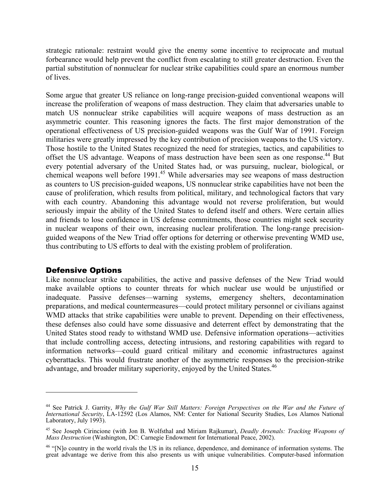strategic rationale: restraint would give the enemy some incentive to reciprocate and mutual forbearance would help prevent the conflict from escalating to still greater destruction. Even the partial substitution of nonnuclear for nuclear strike capabilities could spare an enormous number of lives.

Some argue that greater US reliance on long-range precision-guided conventional weapons will increase the proliferation of weapons of mass destruction. They claim that adversaries unable to match US nonnuclear strike capabilities will acquire weapons of mass destruction as an asymmetric counter. This reasoning ignores the facts. The first major demonstration of the operational effectiveness of US precision-guided weapons was the Gulf War of 1991. Foreign militaries were greatly impressed by the key contribution of precision weapons to the US victory. Those hostile to the United States recognized the need for strategies, tactics, and capabilities to offset the US advantage. Weapons of mass destruction have been seen as one response.<sup>44</sup> But every potential adversary of the United States had, or was pursuing, nuclear, biological, or chemical weapons well before 1991<sup>45</sup> While adversaries may see weapons of mass destruction as counters to US precision-guided weapons, US nonnuclear strike capabilities have not been the cause of proliferation, which results from political, military, and technological factors that vary with each country. Abandoning this advantage would not reverse proliferation, but would seriously impair the ability of the United States to defend itself and others. Were certain allies and friends to lose confidence in US defense commitments, those countries might seek security in nuclear weapons of their own, increasing nuclear proliferation. The long-range precisionguided weapons of the New Triad offer options for deterring or otherwise preventing WMD use, thus contributing to US efforts to deal with the existing problem of proliferation.

#### Defensive Options

 $\overline{a}$ 

Like nonnuclear strike capabilities, the active and passive defenses of the New Triad would make available options to counter threats for which nuclear use would be unjustified or inadequate. Passive defenses—warning systems, emergency shelters, decontamination preparations, and medical countermeasures—could protect military personnel or civilians against WMD attacks that strike capabilities were unable to prevent. Depending on their effectiveness, these defenses also could have some dissuasive and deterrent effect by demonstrating that the United States stood ready to withstand WMD use. Defensive information operations—activities that include controlling access, detecting intrusions, and restoring capabilities with regard to information networks—could guard critical military and economic infrastructures against cyberattacks. This would frustrate another of the asymmetric responses to the precision-strike advantage, and broader military superiority, enjoyed by the United States.<sup>46</sup>

<sup>&</sup>lt;sup>44</sup> See Patrick J. Garrity, *Why the Gulf War Still Matters: Foreign Perspectives on the War and the Future of International Security*, LA-12592 (Los Alamos, NM: Center for National Security Studies, Los Alamos National Laboratory, July 1993).

<sup>45</sup> See Joseph Cirincione (with Jon B. Wolfsthal and Miriam Rajkumar), *Deadly Arsenals: Tracking Weapons of Mass Destruction* (Washington, DC: Carnegie Endowment for International Peace, 2002).

<sup>&</sup>lt;sup>46</sup> "[N]o country in the world rivals the US in its reliance, dependence, and dominance of information systems. The great advantage we derive from this also presents us with unique vulnerabilities. Computer-based information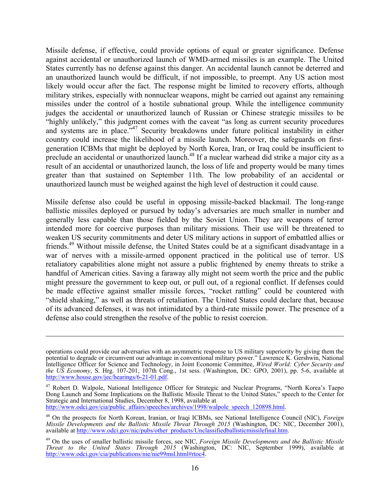Missile defense, if effective, could provide options of equal or greater significance. Defense against accidental or unauthorized launch of WMD-armed missiles is an example. The United States currently has no defense against this danger. An accidental launch cannot be deterred and an unauthorized launch would be difficult, if not impossible, to preempt. Any US action most likely would occur after the fact. The response might be limited to recovery efforts, although military strikes, especially with nonnuclear weapons, might be carried out against any remaining missiles under the control of a hostile subnational group. While the intelligence community judges the accidental or unauthorized launch of Russian or Chinese strategic missiles to be "highly unlikely," this judgment comes with the caveat "as long as current security procedures and systems are in place."<sup>47</sup> Security breakdowns under future political instability in either country could increase the likelihood of a missile launch. Moreover, the safeguards on firstgeneration ICBMs that might be deployed by North Korea, Iran, or Iraq could be insufficient to preclude an accidental or unauthorized launch.<sup>48</sup> If a nuclear warhead did strike a major city as a result of an accidental or unauthorized launch, the loss of life and property would be many times greater than that sustained on September 11th. The low probability of an accidental or unauthorized launch must be weighed against the high level of destruction it could cause.

Missile defense also could be useful in opposing missile-backed blackmail. The long-range ballistic missiles deployed or pursued by today's adversaries are much smaller in number and generally less capable than those fielded by the Soviet Union. They are weapons of terror intended more for coercive purposes than military missions. Their use will be threatened to weaken US security commitments and deter US military actions in support of embattled allies or friends.49 Without missile defense, the United States could be at a significant disadvantage in a war of nerves with a missile-armed opponent practiced in the political use of terror. US retaliatory capabilities alone might not assure a public frightened by enemy threats to strike a handful of American cities. Saving a faraway ally might not seem worth the price and the public might pressure the government to keep out, or pull out, of a regional conflict. If defenses could be made effective against smaller missile forces, "rocket rattling" could be countered with "shield shaking," as well as threats of retaliation. The United States could declare that, because of its advanced defenses, it was not intimidated by a third-rate missile power. The presence of a defense also could strengthen the resolve of the public to resist coercion.

1

operations could provide our adversaries with an asymmetric response to US military superiority by giving them the potential to degrade or circumvent our advantage in conventional military power." Lawrence K. Gershwin, National Intelligence Officer for Science and Technology, in Joint Economic Committee, *Wired World: Cyber Security and the US Economy*, S. Hrg. 107-201, 107th Cong., 1st sess. (Washington, DC: GPO, 2001), pp. 5-6, available at http://www.house.gov/jec/hearings/6-21-01.pdf.

<sup>47</sup> Robert D. Walpole, National Intelligence Officer for Strategic and Nuclear Programs, "North Korea's Taepo Dong Launch and Some Implications on the Ballistic Missile Threat to the United States," speech to the Center for Strategic and International Studies, December 8, 1998, available at http://www.odci.gov/cia/public\_affairs/speeches/archives/1998/walpole\_speech\_120898.html.

<sup>48</sup> On the prospects for North Korean, Iranian, or Iraqi ICBMs, see National Intelligence Council (NIC), *Foreign Missile Developments and the Ballistic Missile Threat Through 2015* (Washington, DC: NIC, December 2001), available at http://www.odci.gov/nic/pubs/other\_products/Unclassifiedballisticmissilefinal.htm.

<sup>49</sup> On the uses of smaller ballistic missile forces, see NIC, *Foreign Missile Developments and the Ballistic Missile Threat to the United States Through 2015* (Washington, DC: NIC, September 1999), available at http://www.odci.gov/cia/publications/nie/nie99msl.html#rtoc4.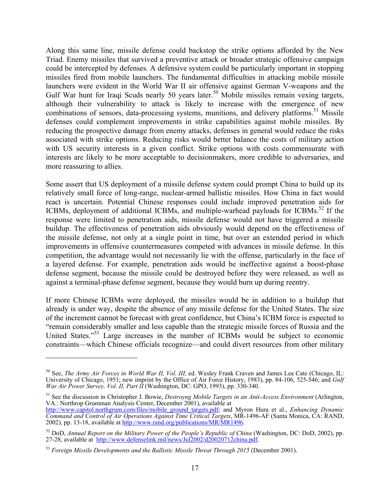Along this same line, missile defense could backstop the strike options afforded by the New Triad. Enemy missiles that survived a preventive attack or broader strategic offensive campaign could be intercepted by defenses. A defensive system could be particularly important in stopping missiles fired from mobile launchers. The fundamental difficulties in attacking mobile missile launchers were evident in the World War II air offensive against German V-weapons and the Gulf War hunt for Iraqi Scuds nearly 50 years later.<sup>50</sup> Mobile missiles remain vexing targets, although their vulnerability to attack is likely to increase with the emergence of new combinations of sensors, data-processing systems, munitions, and delivery platforms.<sup>51</sup> Missile defenses could complement improvements in strike capabilities against mobile missiles. By reducing the prospective damage from enemy attacks, defenses in general would reduce the risks associated with strike options. Reducing risks would better balance the costs of military action with US security interests in a given conflict. Strike options with costs commensurate with interests are likely to be more acceptable to decisionmakers, more credible to adversaries, and more reassuring to allies.

Some assert that US deployment of a missile defense system could prompt China to build up its relatively small force of long-range, nuclear-armed ballistic missiles. How China in fact would react is uncertain. Potential Chinese responses could include improved penetration aids for ICBMs, deployment of additional ICBMs, and multiple-warhead payloads for ICBMs.<sup>52</sup> If the response were limited to penetration aids, missile defense would not have triggered a missile buildup. The effectiveness of penetration aids obviously would depend on the effectiveness of the missile defense, not only at a single point in time, but over an extended period in which improvements in offensive countermeasures competed with advances in missile defense. In this competition, the advantage would not necessarily lie with the offense, particularly in the face of a layered defense. For example, penetration aids would be ineffective against a boost-phase defense segment, because the missile could be destroyed before they were released, as well as against a terminal-phase defense segment, because they would burn up during reentry.

If more Chinese ICBMs were deployed, the missiles would be in addition to a buildup that already is under way, despite the absence of any missile defense for the United States. The size of the increment cannot be forecast with great confidence, but China's ICBM force is expected to "remain considerably smaller and less capable than the strategic missile forces of Russia and the United States.<sup>553</sup> Large increases in the number of ICBMs would be subject to economic constraints—which Chinese officials recognize—and could divert resources from other military

<sup>50</sup> See, *The Army Air Forces in World War II, Vol. III,* ed. Wesley Frank Craven and James Lea Cate (Chicago, IL: University of Chicago, 1951; new imprint by the Office of Air Force History, 1983), pp. 84-106, 525-546; and *Gulf War Air Power Survey, Vol. II, Part II* (Washington, DC: GPO, 1993), pp. 330-340.

<sup>51</sup> See the discussion in Christopher J. Bowie, *Destroyng Mobile Targets in an Anti-Access Environment* (Arlington, VA.: Northrop Grumman Analysis Center, December 2001), available at

http://www.capitol.northgrum.com/files/mobile\_ground\_targets.pdf; and Myron Hura et al., *Enhancing Dynamic Command and Control of Air Operations Against Time Critical Targets*, MR-1496-AF (Santa Monica, CA: RAND, 2002), pp. 13-18, available at http://www.rand.org/publications/MR/MR1496.

<sup>52</sup> DoD, *Annual Report on the Military Power of the People's Republic of China* (Washington, DC: DoD, 2002), pp. 27-28, available at http://www.defenselink.mil/news/Jul2002/d20020712china.pdf.

<sup>53</sup> *Foreign Missile Developments and the Ballistic Missile Threat Through 2015* (December 2001).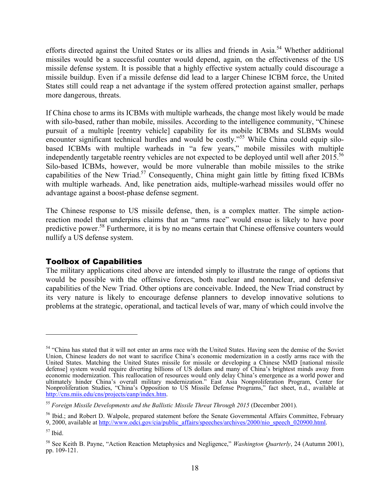efforts directed against the United States or its allies and friends in Asia.<sup>54</sup> Whether additional missiles would be a successful counter would depend, again, on the effectiveness of the US missile defense system. It is possible that a highly effective system actually could discourage a missile buildup. Even if a missile defense did lead to a larger Chinese ICBM force, the United States still could reap a net advantage if the system offered protection against smaller, perhaps more dangerous, threats.

If China chose to arms its ICBMs with multiple warheads, the change most likely would be made with silo-based, rather than mobile, missiles. According to the intelligence community, "Chinese" pursuit of a multiple [reentry vehicle] capability for its mobile ICBMs and SLBMs would encounter significant technical hurdles and would be costly."<sup>55</sup> While China could equip silobased ICBMs with multiple warheads in "a few years," mobile missiles with multiple independently targetable reentry vehicles are not expected to be deployed until well after 2015.<sup>56</sup> Silo-based ICBMs, however, would be more vulnerable than mobile missiles to the strike capabilities of the New Triad.<sup>57</sup> Consequently, China might gain little by fitting fixed ICBMs with multiple warheads. And, like penetration aids, multiple-warhead missiles would offer no advantage against a boost-phase defense segment.

The Chinese response to US missile defense, then, is a complex matter. The simple actionreaction model that underpins claims that an "arms race" would ensue is likely to have poor predictive power.<sup>58</sup> Furthermore, it is by no means certain that Chinese offensive counters would nullify a US defense system.

#### Toolbox of Capabilities

The military applications cited above are intended simply to illustrate the range of options that would be possible with the offensive forces, both nuclear and nonnuclear, and defensive capabilities of the New Triad. Other options are conceivable. Indeed, the New Triad construct by its very nature is likely to encourage defense planners to develop innovative solutions to problems at the strategic, operational, and tactical levels of war, many of which could involve the

1

<sup>&</sup>lt;sup>54</sup> "China has stated that it will not enter an arms race with the United States. Having seen the demise of the Soviet Union, Chinese leaders do not want to sacrifice China's economic modernization in a costly arms race with the United States. Matching the United States missile for missile or developing a Chinese NMD [national missile defense] system would require diverting billions of US dollars and many of China's brightest minds away from economic modernization. This reallocation of resources would only delay China's emergence as a world power and ultimately hinder China's overall military modernization." East Asia Nonproliferation Program, Center for Nonproliferation Studies, "China's Opposition to US Missile Defense Programs," fact sheet, n.d., available at http://cns.miis.edu/cns/projects/eanp/index.htm.

<sup>55</sup> *Foreign Missile Developments and the Ballistic Missile Threat Through 2015* (December 2001).

<sup>56</sup> Ibid.; and Robert D. Walpole, prepared statement before the Senate Governmental Affairs Committee, February 9, 2000, available at http://www.odci.gov/cia/public\_affairs/speeches/archives/2000/nio\_speech\_020900.html.

 $57$  Ibid.

<sup>58</sup> See Keith B. Payne, "Action Reaction Metaphysics and Negligence," *Washington Quarterly*, 24 (Autumn 2001), pp. 109-121.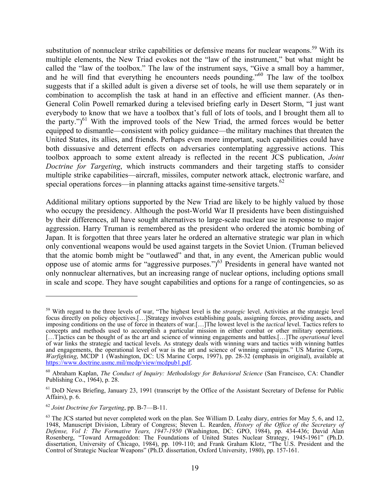substitution of nonnuclear strike capabilities or defensive means for nuclear weapons.<sup>59</sup> With its multiple elements, the New Triad evokes not the "law of the instrument," but what might be called the "law of the toolbox." The law of the instrument says, "Give a small boy a hammer, and he will find that everything he encounters needs pounding.<sup>560</sup> The law of the toolbox suggests that if a skilled adult is given a diverse set of tools, he will use them separately or in combination to accomplish the task at hand in an effective and efficient manner. (As then-General Colin Powell remarked during a televised briefing early in Desert Storm, "I just want everybody to know that we have a toolbox that's full of lots of tools, and I brought them all to the party.")<sup>61</sup> With the improved tools of the New Triad, the armed forces would be better equipped to dismantle—consistent with policy guidance—the military machines that threaten the United States, its allies, and friends. Perhaps even more important, such capabilities could have both dissuasive and deterrent effects on adversaries contemplating aggressive actions. This toolbox approach to some extent already is reflected in the recent JCS publication, *Joint Doctrine for Targeting*, which instructs commanders and their targeting staffs to consider multiple strike capabilities—aircraft, missiles, computer network attack, electronic warfare, and special operations forces—in planning attacks against time-sensitive targets. $62$ 

Additional military options supported by the New Triad are likely to be highly valued by those who occupy the presidency. Although the post-World War II presidents have been distinguished by their differences, all have sought alternatives to large-scale nuclear use in response to major aggression. Harry Truman is remembered as the president who ordered the atomic bombing of Japan. It is forgotten that three years later he ordered an alternative strategic war plan in which only conventional weapons would be used against targets in the Soviet Union. (Truman believed that the atomic bomb might be "outlawed" and that, in any event, the American public would oppose use of atomic arms for "aggressive purposes.")<sup>63</sup> Presidents in general have wanted not only nonnuclear alternatives, but an increasing range of nuclear options, including options small in scale and scope. They have sought capabilities and options for a range of contingencies, so as

<sup>59</sup> With regard to the three levels of war, "The highest level is the *strategic* level. Activities at the strategic level focus directly on policy objectives.[…]Strategy involves establishing goals, assigning forces, providing assets, and imposing conditions on the use of force in theaters of war.[…]The lowest level is the *tactical* level. Tactics refers to concepts and methods used to accomplish a particular mission in either combat or other military operations. […T]actics can be thought of as the art and science of winning engagements and battles.[…]The *operational* level of war links the strategic and tactical levels. As strategy deals with winning wars and tactics with winning battles and engagements, the operational level of war is the art and science of winning campaigns." US Marine Corps, *Warfighting*, MCDP 1 (Washington, DC: US Marine Corps, 1997), pp. 28-32 (emphasis in original), available at https://www.doctrine.usmc.mil/mcdp/view/mcdpub1.pdf.

<sup>60</sup> Abraham Kaplan, *The Conduct of Inquiry: Methodology for Behavioral Science* (San Francisco, CA: Chandler Publishing Co., 1964), p. 28.

<sup>&</sup>lt;sup>61</sup> DoD News Briefing, January 23, 1991 (transcript by the Office of the Assistant Secretary of Defense for Public Affairs), p. 6.

<sup>62</sup> *Joint Doctrine for Targeting*, pp. B-7—B-11.

 $63$  The JCS started but never completed work on the plan. See William D. Leahy diary, entries for May 5, 6, and 12, 1948, Manuscript Division, Library of Congress; Steven L. Rearden, *History of the Office of the Secretary of Defense, Vol I: The Formative Years, 1947-1950* (Washington, DC: GPO, 1984), pp. 434-436; David Alan Rosenberg, "Toward Armageddon: The Foundations of United States Nuclear Strategy, 1945-1961" (Ph.D. dissertation, University of Chicago, 1984), pp. 109-110; and Frank Graham Klotz, "The U.S. President and the Control of Strategic Nuclear Weapons" (Ph.D. dissertation, Oxford University, 1980), pp. 157-161.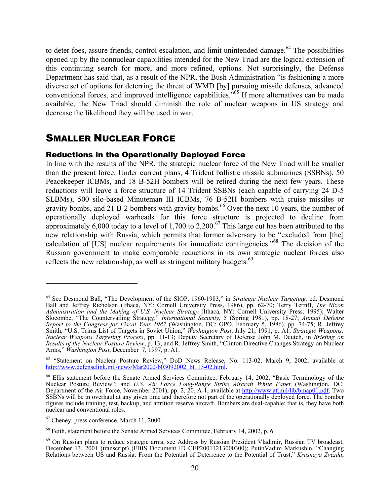to deter foes, assure friends, control escalation, and limit unintended damage.<sup>64</sup> The possibilities opened up by the nonnuclear capabilities intended for the New Triad are the logical extension of this continuing search for more, and more refined, options. Not surprisingly, the Defense Department has said that, as a result of the NPR, the Bush Administration "is fashioning a more diverse set of options for deterring the threat of WMD [by] pursuing missile defenses, advanced conventional forces, and improved intelligence capabilities."65 If more alternatives can be made available, the New Triad should diminish the role of nuclear weapons in US strategy and decrease the likelihood they will be used in war.

### SMALLER NUCLEAR FORCE

#### Reductions in the Operationally Deployed Force

In line with the results of the NPR, the strategic nuclear force of the New Triad will be smaller than the present force. Under current plans, 4 Trident ballistic missile submarines (SSBNs), 50 Peacekeeper ICBMs, and 18 B-52H bombers will be retired during the next few years. These reductions will leave a force structure of 14 Trident SSBNs (each capable of carrying 24 D-5 SLBMs), 500 silo-based Minuteman III ICBMs, 76 B-52H bombers with cruise missiles or gravity bombs, and 21 B-2 bombers with gravity bombs.<sup>66</sup> Over the next 10 years, the number of operationally deployed warheads for this force structure is projected to decline from approximately  $6,000$  today to a level of 1,700 to 2,200.<sup>67</sup> This large cut has been attributed to the new relationship with Russia, which permits that former adversary to be "excluded from [the] calculation of [US] nuclear requirements for immediate contingencies."68 The decision of the Russian government to make comparable reductions in its own strategic nuclear forces also reflects the new relationship, as well as stringent military budgets. $69$ 

 $67$  Cheney, press conference, March 11, 2000.

<sup>64</sup> See Desmond Ball, "The Development of the SIOP, 1960-1983," in *Strategic Nuclear Targeting,* ed. Desmond Ball and Jeffrey Richelson (Ithaca, NY: Cornell University Press, 1986), pp. 62-70; Terry Terriff, *The Nixon Administration and the Making of U.S. Nuclear Strategy* (Ithaca, NY: Cornell University Press, 1995); Walter Slocombe, "The Countervailing Strategy," *International Security*, 5 (Spring 1981), pp. 18-27; *Annual Defense Report to the Congress for Fiscal Year 1987* (Washington, DC: GPO, February 5, 1986), pp. 74-75; R. Jeffrey Smith, "U.S. Trims List of Targets in Soviet Union," *Washington Post*, July 21, 1991, p. A1; *Strategic Weapons: Nuclear Weapons Targeting Process*, pp. 11-13; Deputy Secretary of Defense John M. Deutch, in *Briefing on Results of the Nuclear Posture Review*, p. 13; and R. Jeffrey Smith, "Clinton Directive Changes Strategy on Nuclear Arms," *Washington Post*, December 7, 1997, p. A1.

<sup>&</sup>lt;sup>65</sup> "Statement on Nuclear Posture Review," DoD News Release, No. 113-02, March 9, 2002, available at http://www.defenselink.mil/news/Mar2002/b03092002\_bt113-02.html.

<sup>&</sup>lt;sup>66</sup> Ellis statement before the Senate Armed Services Committee, February 14, 2002, "Basic Terminology of the Nuclear Posture Review"; and *U.S. Air Force Long-Range Strike Aircraft White Paper* (Washington, DC: Department of the Air Force, November 2001), pp. 2, 20, A-1, available at http://www.af.mil/lib/bmap01.pdf. Two SSBNs will be in overhaul at any given time and therefore not part of the operationally deployed force. The bomber figures include training, test, backup, and attrition reserve aircraft. Bombers are dual-capable; that is, they have both nuclear and conventional roles.

<sup>&</sup>lt;sup>68</sup> Feith, statement before the Senate Armed Services Committee, February 14, 2002, p. 6.

<sup>&</sup>lt;sup>69</sup> On Russian plans to reduce strategic arms, see Address by Russian President Vladimir, Russian TV broadcast, December 13, 2001 (transcript) (FBIS Document ID CEP20011213000300); PutinVadim Markushin, "Changing Relations between US and Russia: From the Potential of Deterrence to the Potential of Trust," *Krasnaya Zvezda*,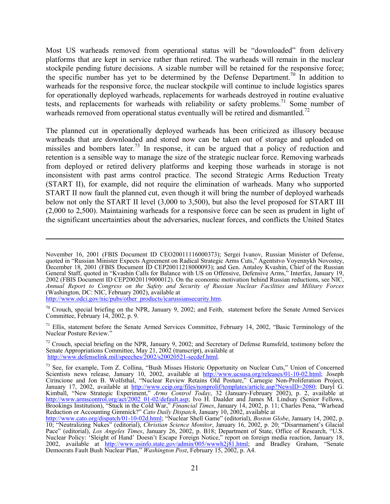Most US warheads removed from operational status will be "downloaded" from delivery platforms that are kept in service rather than retired. The warheads will remain in the nuclear stockpile pending future decisions. A sizable number will be retained for the responsive force; the specific number has yet to be determined by the Defense Department.<sup>70</sup> In addition to warheads for the responsive force, the nuclear stockpile will continue to include logistics spares for operationally deployed warheads, replacements for warheads destroyed in routine evaluative tests, and replacements for warheads with reliability or safety problems.<sup>71</sup> Some number of warheads removed from operational status eventually will be retired and dismantled.<sup>72</sup>

The planned cut in operationally deployed warheads has been criticized as illusory because warheads that are downloaded and stored now can be taken out of storage and uploaded on missiles and bombers later.<sup>73</sup> In response, it can be argued that a policy of reduction and retention is a sensible way to manage the size of the strategic nuclear force. Removing warheads from deployed or retired delivery platforms and keeping those warheads in storage is not inconsistent with past arms control practice. The second Strategic Arms Reduction Treaty (START II), for example, did not require the elimination of warheads. Many who supported START II now fault the planned cut, even though it will bring the number of deployed warheads below not only the START II level (3,000 to 3,500), but also the level proposed for START III (2,000 to 2,500). Maintaining warheads for a responsive force can be seen as prudent in light of the significant uncertainties about the adversaries, nuclear forces, and conflicts the United States

http://www.odci.gov/nic/pubs/other\_products/icarussiansecurity.htm.

 $\overline{a}$ 

 $70$  Crouch, special briefing on the NPR, January 9, 2002; and Feith, statement before the Senate Armed Services Committee, February 14, 2002, p. 9.

<sup>71</sup> Ellis, statement before the Senate Armed Services Committee, February 14, 2002, "Basic Terminology of the Nuclear Posture Review."

 $^{72}$  Crouch, special briefing on the NPR, January 9, 2002; and Secretary of Defense Rumsfeld, testimony before the Senate Appropriations Committee, May 21, 2002 (transcript), available at http://www.defenselink.mil/speeches/2002/s20020521-secdef.html.

November 16, 2001 (FBIS Document ID CEO20011116000373); Sergei Ivanov, Russian Minister of Defense, quoted in "Russian Minister Expects Agreement on Radical Strategic Arms Cuts," Agentstvo Voyennykh Novostey, December 18, 2001 (FBIS Document ID CEP20011218000093); and Gen. Antaloy Kvashin, Chief of the Russian General Staff, quoted in "Kvashin Calls for Balance with US on Offensive, Defensive Arms," Interfax, January 19, 2002 (FBIS Document ID CEP20020119000012). On the economic motivation behind Russian reductions, see NIC, *Annual Report to Congress on the Safety and Security of Russian Nuclear Facilities and Military Forces* (Washington, DC: NIC, February 2002), available at

<sup>&</sup>lt;sup>73</sup> See, for example, Tom Z. Collina, "Bush Misses Historic Opportunity on Nuclear Cuts," Union of Concerned Scientists news release, January 10, 2002, available at http://www.ucsusa.org/releases/01-10-02.html; Joseph Cirincione and Jon B. Wolfsthal, "Nuclear Review Retains Old Posture," Carnegie Non-Proliferation Project, January 17, 2002, available at http://www.ceip.org/files/nonprolif/templates/article.asp?NewsID=2080; Daryl G. Kimball, "New Strategic Experiment," *Arms Control Today*, 32 (January-February 2002), p. 2, available at http://www.armscontrol.org/act/2002\_01-02/default.asp; Ivo H. Daalder and James M. Lindsay (Senior Fellows, Brookings Institution), "Stuck in the Cold War," *Financial Times*, January 14, 2002, p. 11; Charles Pena, "Warhead Reduction or Accounting Gimmick?" *Cato Daily Dispatch*, January 10, 2002, available at

http://www.cato.org/dispatch/01-10-02d.html; "Nuclear Shell Game" (editorial), *Boston Globe*, January 14, 2002, p. 10; "Neutralizing Nukes" (editorial), *Christian Science Monitor*, January 16, 2002, p. 20; "Disarmament's Glacial Pace" (editorial), *Los Angeles Times*, January 26, 2002, p. B18; Department of State, Office of Research, "U.S. Nuclear Policy: 'Sleight of Hand' Doesn't Escape Foreign Notice," report on foreign media reaction, January 18, 2002, available at http://www.usinfo.state.gov/admin/005/wwwh2j81.html; and Bradley Graham, "Senate Democrats Fault Bush Nuclear Plan," *Washington Post*, February 15, 2002, p. A4.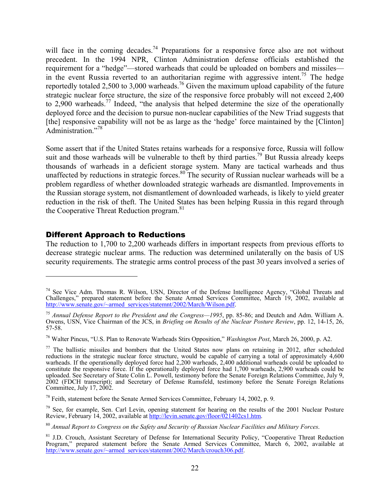will face in the coming decades.<sup>74</sup> Preparations for a responsive force also are not without precedent. In the 1994 NPR, Clinton Administration defense officials established the requirement for a "hedge"—stored warheads that could be uploaded on bombers and missiles in the event Russia reverted to an authoritarian regime with aggressive intent.<sup>75</sup> The hedge reportedly totaled 2,500 to 3,000 warheads.<sup>76</sup> Given the maximum upload capability of the future strategic nuclear force structure, the size of the responsive force probably will not exceed 2,400 to 2,900 warheads.77 Indeed, "the analysis that helped determine the size of the operationally deployed force and the decision to pursue non-nuclear capabilities of the New Triad suggests that [the] responsive capability will not be as large as the 'hedge' force maintained by the [Clinton] Administration<sup>"78</sup>

Some assert that if the United States retains warheads for a responsive force, Russia will follow suit and those warheads will be vulnerable to theft by third parties.<sup>79</sup> But Russia already keeps thousands of warheads in a deficient storage system. Many are tactical warheads and thus unaffected by reductions in strategic forces.<sup>80</sup> The security of Russian nuclear warheads will be a problem regardless of whether downloaded strategic warheads are dismantled. Improvements in the Russian storage system, not dismantlement of downloaded warheads, is likely to yield greater reduction in the risk of theft. The United States has been helping Russia in this regard through the Cooperative Threat Reduction program.<sup>81</sup>

#### Different Approach to Reductions

<u>.</u>

The reduction to 1,700 to 2,200 warheads differs in important respects from previous efforts to decrease strategic nuclear arms. The reduction was determined unilaterally on the basis of US security requirements. The strategic arms control process of the past 30 years involved a series of

 $74$  See Vice Adm. Thomas R. Wilson, USN, Director of the Defense Intelligence Agency, "Global Threats and Challenges," prepared statement before the Senate Armed Services Committee, March 19, 2002, available at http://www.senate.gov/~armed\_services/statemnt/2002/March/Wilson.pdf.

<sup>75</sup> *Annual Defense Report to the President and the Congress—1995*, pp. 85-86; and Deutch and Adm. William A. Owens, USN, Vice Chairman of the JCS, in *Briefing on Results of the Nuclear Posture Review*, pp. 12, 14-15, 26, 57-58.

<sup>76</sup> Walter Pincus, "U.S. Plan to Renovate Warheads Stirs Opposition," *Washington Post*, March 26, 2000, p. A2.

 $77$  The ballistic missiles and bombers that the United States now plans on retaining in 2012, after scheduled reductions in the strategic nuclear force structure, would be capable of carrying a total of approximately 4,600 warheads. If the operationally deployed force had 2,200 warheads, 2,400 additional warheads could be uploaded to constitute the responsive force. If the operationally deployed force had 1,700 warheads, 2,900 warheads could be uploaded. See Secretary of State Colin L. Powell, testimony before the Senate Foreign Relations Committee, July 9, 2002 (FDCH transcript); and Secretary of Defense Rumsfeld, testimony before the Senate Foreign Relations Committee, July 17, 2002.

<sup>78</sup> Feith, statement before the Senate Armed Services Committee, February 14, 2002, p. 9.

<sup>&</sup>lt;sup>79</sup> See, for example, Sen. Carl Levin, opening statement for hearing on the results of the 2001 Nuclear Posture Review, February 14, 2002, available at http://levin.senate.gov/floor/021402cs1.htm.

<sup>80</sup> *Annual Report to Congress on the Safety and Security of Russian Nuclear Facilities and Military Forces*.

<sup>&</sup>lt;sup>81</sup> J.D. Crouch, Assistant Secretary of Defense for International Security Policy, "Cooperative Threat Reduction Program," prepared statement before the Senate Armed Services Committee, March 6, 2002, available at http://www.senate.gov/~armed\_services/statemnt/2002/March/crouch306.pdf.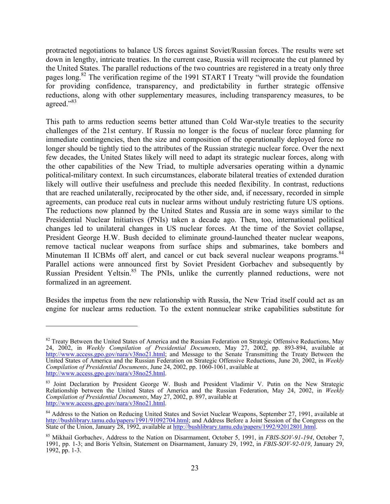protracted negotiations to balance US forces against Soviet/Russian forces. The results were set down in lengthy, intricate treaties. In the current case, Russia will reciprocate the cut planned by the United States. The parallel reductions of the two countries are registered in a treaty only three pages long.<sup>82</sup> The verification regime of the 1991 START I Treaty "will provide the foundation for providing confidence, transparency, and predictability in further strategic offensive reductions, along with other supplementary measures, including transparency measures, to be agreed."83

This path to arms reduction seems better attuned than Cold War-style treaties to the security challenges of the 21st century. If Russia no longer is the focus of nuclear force planning for immediate contingencies, then the size and composition of the operationally deployed force no longer should be tightly tied to the attributes of the Russian strategic nuclear force. Over the next few decades, the United States likely will need to adapt its strategic nuclear forces, along with the other capabilities of the New Triad, to multiple adversaries operating within a dynamic political-military context. In such circumstances, elaborate bilateral treaties of extended duration likely will outlive their usefulness and preclude this needed flexibility. In contrast, reductions that are reached unilaterally, reciprocated by the other side, and, if necessary, recorded in simple agreements, can produce real cuts in nuclear arms without unduly restricting future US options. The reductions now planned by the United States and Russia are in some ways similar to the Presidential Nuclear Initiatives (PNIs) taken a decade ago. Then, too, international political changes led to unilateral changes in US nuclear forces. At the time of the Soviet collapse, President George H.W. Bush decided to eliminate ground-launched theater nuclear weapons, remove tactical nuclear weapons from surface ships and submarines, take bombers and Minuteman II ICBMs off alert, and cancel or cut back several nuclear weapons programs.<sup>84</sup> Parallel actions were announced first by Soviet President Gorbachev and subsequently by Russian President Yeltsin.<sup>85</sup> The PNIs, unlike the currently planned reductions, were not formalized in an agreement.

Besides the impetus from the new relationship with Russia, the New Triad itself could act as an engine for nuclear arms reduction. To the extent nonnuclear strike capabilities substitute for

<sup>&</sup>lt;sup>82</sup> Treaty Between the United States of America and the Russian Federation on Strategic Offensive Reductions, May 24, 2002, in *Weekly Compilation of Presidential Documents*, May 27, 2002, pp. 893-894, available at http://www.access.gpo.gov/nara/v38no21.html; and Message to the Senate Transmitting the Treaty Between the United States of America and the Russian Federation on Strategic Offensive Reductions, June 20, 2002, in *Weekly Compilation of Presidential Documents*, June 24, 2002, pp. 1060-1061, available at http://www.access.gpo.gov/nara/v38no25.html.

<sup>&</sup>lt;sup>83</sup> Joint Declaration by President George W. Bush and President Vladimir V. Putin on the New Strategic Relationship between the United States of America and the Russian Federation, May 24, 2002, in *Weekly Compilation of Presidential Documents*, May 27, 2002, p. 897, available at http://www.access.gpo.gov/nara/v38no21.html.

<sup>&</sup>lt;sup>84</sup> Address to the Nation on Reducing United States and Soviet Nuclear Weapons, September 27, 1991, available at http://bushlibrary.tamu.edu/papers/1991/91092704.html; and Address Before a Joint Session of the Congress on the State of the Union, January 28, 1992, available at http://bushlibrary.tamu.edu/papers/1992/92012801.html.

<sup>85</sup> Mikhail Gorbachev, Address to the Nation on Disarmament, October 5, 1991, in *FBIS-SOV-91-194*, October 7, 1991, pp. 1-3; and Boris Yeltsin, Statement on Disarmament, January 29, 1992, in *FBIS-SOV-92-019*, January 29, 1992, pp. 1-3.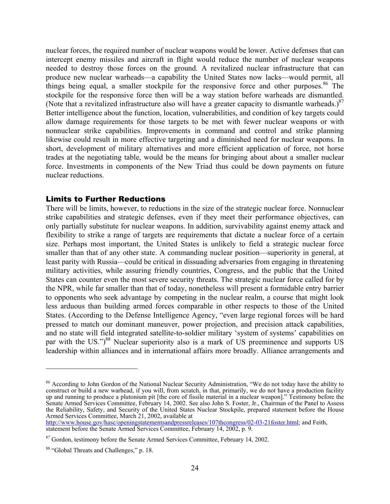nuclear forces, the required number of nuclear weapons would be lower. Active defenses that can intercept enemy missiles and aircraft in flight would reduce the number of nuclear weapons needed to destroy those forces on the ground. A revitalized nuclear infrastructure that can produce new nuclear warheads—a capability the United States now lacks—would permit, all things being equal, a smaller stockpile for the responsive force and other purposes.<sup>86</sup> The stockpile for the responsive force then will be a way station before warheads are dismantled. (Note that a revitalized infrastructure also will have a greater capacity to dismantle warheads.)<sup>87</sup> Better intelligence about the function, location, vulnerabilities, and condition of key targets could allow damage requirements for those targets to be met with fewer nuclear weapons or with nonnuclear strike capabilities. Improvements in command and control and strike planning likewise could result in more effective targeting and a diminished need for nuclear weapons. In short, development of military alternatives and more efficient application of force, not horse trades at the negotiating table, would be the means for bringing about about a smaller nuclear force. Investments in components of the New Triad thus could be down payments on future nuclear reductions.

#### Limits to Further Reductions

There will be limits, however, to reductions in the size of the strategic nuclear force. Nonnuclear strike capabilities and strategic defenses, even if they meet their performance objectives, can only partially substitute for nuclear weapons. In addition, survivability against enemy attack and flexibility to strike a range of targets are requirements that dictate a nuclear force of a certain size. Perhaps most important, the United States is unlikely to field a strategic nuclear force smaller than that of any other state. A commanding nuclear position—superiority in general, at least parity with Russia—could be critical in dissuading adversaries from engaging in threatening military activities, while assuring friendly countries, Congress, and the public that the United States can counter even the most severe security threats. The strategic nuclear force called for by the NPR, while far smaller than that of today, nonetheless will present a formidable entry barrier to opponents who seek advantage by competing in the nuclear realm, a course that might look less arduous than building armed forces comparable in other respects to those of the United States. (According to the Defense Intelligence Agency, "even large regional forces will be hard pressed to match our dominant maneuver, power projection, and precision attack capabilities, and no state will field integrated satellite-to-soldier military 'system of systems' capabilities on par with the US.")<sup>88</sup> Nuclear superiority also is a mark of US preeminence and supports US leadership within alliances and in international affairs more broadly. Alliance arrangements and

http://www.house.gov/hasc/openingstatementsandpressreleases/107thcongress/02-03-21foster.html; and Feith, statement before the Senate Armed Services Committee, February 14, 2002, p. 9.

1

<sup>&</sup>lt;sup>86</sup> According to John Gordon of the National Nuclear Security Administration, "We do not today have the ability to construct or build a new warhead, if you will, from scratch, in that, primarily, we do not have a production facility up and running to produce a plutonium pit [the core of fissile material in a nuclear weapon]." Testimony before the Senate Armed Services Committee, February 14, 2002. See also John S. Foster, Jr., Chairman of the Panel to Assess the Reliability, Safety, and Security of the United States Nuclear Stockpile, prepared statement before the House Armed Services Committee, March 21, 2002, available at

<sup>&</sup>lt;sup>87</sup> Gordon, testimony before the Senate Armed Services Committee, February 14, 2002.

<sup>88 &</sup>quot;Global Threats and Challenges," p. 18.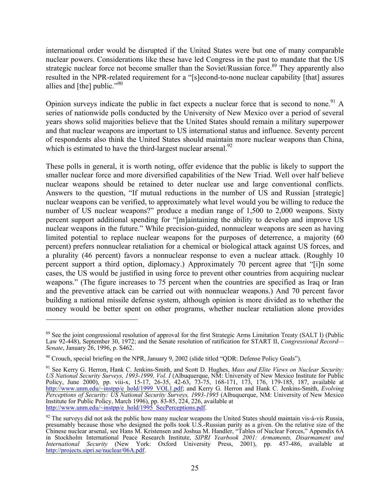international order would be disrupted if the United States were but one of many comparable nuclear powers. Considerations like these have led Congress in the past to mandate that the US strategic nuclear force not become smaller than the Soviet/Russian force.<sup>89</sup> They apparently also resulted in the NPR-related requirement for a "[s]econd-to-none nuclear capability [that] assures allies and [the] public."<sup>90</sup>

Opinion surveys indicate the public in fact expects a nuclear force that is second to none.<sup>91</sup> A series of nationwide polls conducted by the University of New Mexico over a period of several years shows solid majorities believe that the United States should remain a military superpower and that nuclear weapons are important to US international status and influence. Seventy percent of respondents also think the United States should maintain more nuclear weapons than China, which is estimated to have the third-largest nuclear arsenal. $92$ 

These polls in general, it is worth noting, offer evidence that the public is likely to support the smaller nuclear force and more diversified capabilities of the New Triad. Well over half believe nuclear weapons should be retained to deter nuclear use and large conventional conflicts. Answers to the question, "If mutual reductions in the number of US and Russian [strategic] nuclear weapons can be verified, to approximately what level would you be willing to reduce the number of US nuclear weapons?" produce a median range of 1,500 to 2,000 weapons. Sixty percent support additional spending for "[m]aintaining the ability to develop and improve US nuclear weapons in the future." While precision-guided, nonnuclear weapons are seen as having limited potential to replace nuclear weapons for the purposes of deterrence, a majority (60 percent) prefers nonnuclear retaliation for a chemical or biological attack against US forces, and a plurality (46 percent) favors a nonnuclear response to even a nuclear attack. (Roughly 10 percent support a third option, diplomacy.) Approximately 70 percent agree that "[i]n some cases, the US would be justified in using force to prevent other countries from acquiring nuclear weapons." (The figure increases to 75 percent when the countries are specified as Iraq or Iran and the preventive attack can be carried out with nonnuclear weapons.) And 70 percent favor building a national missile defense system, although opinion is more divided as to whether the money would be better spent on other programs, whether nuclear retaliation alone provides

<sup>&</sup>lt;sup>89</sup> See the joint congressional resolution of approval for the first Strategic Arms Limitation Treaty (SALT I) (Public Law 92-448), September 30, 1972; and the Senate resolution of ratification for START II, *Congressional Record— Senate*, January 26, 1996, p. S462.

 $90$  Crouch, special briefing on the NPR, January 9, 2002 (slide titled "QDR: Defense Policy Goals").

<sup>91</sup> See Kerry G. Herron, Hank C. Jenkins-Smith, and Scott D. Hughes, *Mass and Elite Views on Nuclear Security: US National Security Surveys, 1993-1999, Vol. I* (Albuquerque, NM: University of New Mexico Institute for Public Policy, June 2000), pp. viii-x, 15-17, 26-35, 42-63, 73-75, 168-171, 173, 176, 179-185, 187, available at http://www.unm.edu/~instpp/e\_hold/1999\_VOL1.pdf; and Kerry G. Herron and Hank C. Jenkins-Smith, *Evolving Perceptions of Security: US National Security Surveys, 1993-1995* (Albuquerque, NM: University of New Mexico Institute for Public Policy, March 1996), pp. 83-85, 224, 226, available at http://www.unm.edu/~instpp/e\_hold/1995\_SecPerceptions.pdf.

 $92$  The surveys did not ask the public how many nuclear weapons the United States should maintain vis-à-vis Russia, presumably because those who designed the polls took U.S.-Russian parity as a given. On the relative size of the Chinese nuclear arsenal, see Hans M. Kristensen and Joshua M. Handler, "Tables of Nuclear Forces," Appendix 6A in Stockholm International Peace Research Institute, *SIPRI Yearbook 2001: Armaments, Disarmament and International Security* (New York: Oxford University Press, 2001), pp. 457-486, available at http://projects.sipri.se/nuclear/06A.pdf.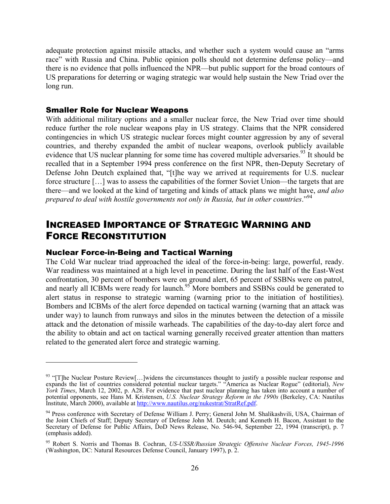adequate protection against missile attacks, and whether such a system would cause an "arms race" with Russia and China. Public opinion polls should not determine defense policy—and there is no evidence that polls influenced the NPR—but public support for the broad contours of US preparations for deterring or waging strategic war would help sustain the New Triad over the long run.

#### Smaller Role for Nuclear Weapons

With additional military options and a smaller nuclear force, the New Triad over time should reduce further the role nuclear weapons play in US strategy. Claims that the NPR considered contingencies in which US strategic nuclear forces might counter aggression by any of several countries, and thereby expanded the ambit of nuclear weapons, overlook publicly available evidence that US nuclear planning for some time has covered multiple adversaries.<sup>93</sup> It should be recalled that in a September 1994 press conference on the first NPR, then-Deputy Secretary of Defense John Deutch explained that, "[t]he way we arrived at requirements for U.S. nuclear force structure […] was to assess the capabilities of the former Soviet Union—the targets that are there—and we looked at the kind of targeting and kinds of attack plans we might have, *and also prepared to deal with hostile governments not only in Russia, but in other countries*."94

### INCREASED IMPORTANCE OF STRATEGIC WARNING AND FORCE RECONSTITUTION

#### Nuclear Force-in-Being and Tactical Warning

 $\overline{a}$ 

The Cold War nuclear triad approached the ideal of the force-in-being: large, powerful, ready. War readiness was maintained at a high level in peacetime. During the last half of the East-West confrontation, 30 percent of bombers were on ground alert, 65 percent of SSBNs were on patrol, and nearly all ICBMs were ready for launch.<sup>95</sup> More bombers and SSBNs could be generated to alert status in response to strategic warning (warning prior to the initiation of hostilities). Bombers and ICBMs of the alert force depended on tactical warning (warning that an attack was under way) to launch from runways and silos in the minutes between the detection of a missile attack and the detonation of missile warheads. The capabilities of the day-to-day alert force and the ability to obtain and act on tactical warning generally received greater attention than matters related to the generated alert force and strategic warning.

 $93$  "[T]he Nuclear Posture Review[...]widens the circumstances thought to justify a possible nuclear response and expands the list of countries considered potential nuclear targets." "America as Nuclear Rogue" (editorial), *New York Times*, March 12, 2002, p. A28. For evidence that past nuclear planning has taken into account a number of potential opponents, see Hans M. Kristensen, *U.S. Nuclear Strategy Reform in the 1990s* (Berkeley, CA: Nautilus Institute, March 2000), available at http://www.nautilus.org/nukestrat/StratRef.pdf.

<sup>94</sup> Press conference with Secretary of Defense William J. Perry; General John M. Shalikashvili, USA, Chairman of the Joint Chiefs of Staff; Deputy Secretary of Defense John M. Deutch; and Kenneth H. Bacon, Assistant to the Secretary of Defense for Public Affairs, DoD News Release, No. 546-94, September 22, 1994 (transcript), p. 7 (emphasis added).

<sup>95</sup> Robert S. Norris and Thomas B. Cochran, *US-USSR/Russian Strategic Offensive Nuclear Forces, 1945-1996* (Washington, DC: Natural Resources Defense Council, January 1997), p. 2.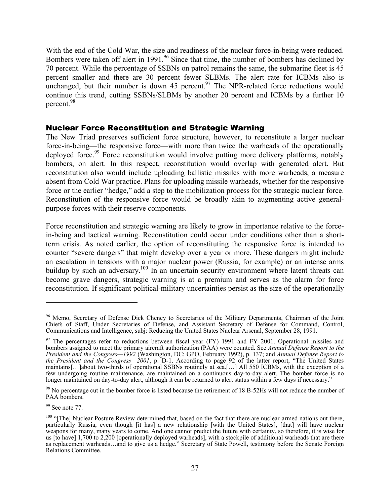With the end of the Cold War, the size and readiness of the nuclear force-in-being were reduced. Bombers were taken off alert in 1991.<sup>96</sup> Since that time, the number of bombers has declined by 70 percent. While the percentage of SSBNs on patrol remains the same, the submarine fleet is 45 percent smaller and there are 30 percent fewer SLBMs. The alert rate for ICBMs also is unchanged, but their number is down 45 percent.<sup>97</sup> The NPR-related force reductions would continue this trend, cutting SSBNs/SLBMs by another 20 percent and ICBMs by a further 10 percent.98

#### Nuclear Force Reconstitution and Strategic Warning

The New Triad preserves sufficient force structure, however, to reconstitute a larger nuclear force-in-being—the responsive force—with more than twice the warheads of the operationally deployed force.<sup>99</sup> Force reconstitution would involve putting more delivery platforms, notably bombers, on alert. In this respect, reconstitution would overlap with generated alert. But reconstitution also would include uploading ballistic missiles with more warheads, a measure absent from Cold War practice. Plans for uploading missile warheads, whether for the responsive force or the earlier "hedge," add a step to the mobilization process for the strategic nuclear force. Reconstitution of the responsive force would be broadly akin to augmenting active generalpurpose forces with their reserve components.

Force reconstitution and strategic warning are likely to grow in importance relative to the forcein-being and tactical warning. Reconstitution could occur under conditions other than a shortterm crisis. As noted earlier, the option of reconstituting the responsive force is intended to counter "severe dangers" that might develop over a year or more. These dangers might include an escalation in tensions with a major nuclear power (Russia, for example) or an intense arms buildup by such an adversary.<sup>100</sup> In an uncertain security environment where latent threats can become grave dangers, strategic warning is at a premium and serves as the alarm for force reconstitution. If significant political-military uncertainties persist as the size of the operationally

<sup>&</sup>lt;sup>96</sup> Memo, Secretary of Defense Dick Cheney to Secretaries of the Military Departments, Chairman of the Joint Chiefs of Staff, Under Secretaries of Defense, and Assistant Secretary of Defense for Command, Control, Communications and Intelligence, subj: Reducing the United States Nuclear Arsenal, September 28, 1991.

<sup>&</sup>lt;sup>97</sup> The percentages refer to reductions between fiscal year (FY) 1991 and FY 2001. Operational missiles and bombers assigned to meet the primary aircraft authorization (PAA) were counted. See *Annual Defense Report to the President and the Congress—1992* (Washington, DC: GPO, February 1992), p. 137; and *Annual Defense Report to the President and the Congress—2001*, p. D-1. According to page 92 of the latter report, "The United States maintains[…]about two-thirds of operational SSBNs routinely at sea.[…] All 550 ICBMs, with the exception of a few undergoing routine maintenance, are maintained on a continuous day-to-day alert. The bomber force is no longer maintained on day-to-day alert, although it can be returned to alert status within a few days if necessary."

<sup>&</sup>lt;sup>98</sup> No percentage cut in the bomber force is listed because the retirement of 18 B-52Hs will not reduce the number of PAA bombers.

<sup>&</sup>lt;sup>99</sup> See note 77.

<sup>&</sup>lt;sup>100</sup> "[The] Nuclear Posture Review determined that, based on the fact that there are nuclear-armed nations out there, particularly Russia, even though [it has] a new relationship [with the United States], [that] will have nuclear weapons for many, many years to come. And one cannot predict the future with certainty, so therefore, it is wise for us [to have] 1,700 to 2,200 [operationally deployed warheads], with a stockpile of additional warheads that are there as replacement warheads…and to give us a hedge." Secretary of State Powell, testimony before the Senate Foreign Relations Committee.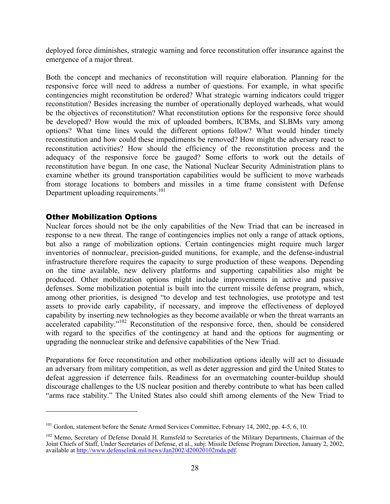deployed force diminishes, strategic warning and force reconstitution offer insurance against the emergence of a major threat.

Both the concept and mechanics of reconstitution will require elaboration. Planning for the responsive force will need to address a number of questions. For example, in what specific contingencies might reconstitution be ordered? What strategic warning indicators could trigger reconstitution? Besides increasing the number of operationally deployed warheads, what would be the objectives of reconstitution? What reconstitution options for the responsive force should be developed? How would the mix of uploaded bombers, ICBMs, and SLBMs vary among options? What time lines would the different options follow? What would hinder timely reconstitution and how could these impediments be removed? How might the adversary react to reconstitution activities? How should the efficiency of the reconstitution process and the adequacy of the responsive force be gauged? Some efforts to work out the details of reconstitution have begun. In one case, the National Nuclear Security Administration plans to examine whether its ground transportation capabilities would be sufficient to move warheads from storage locations to bombers and missiles in a time frame consistent with Defense Department uploading requirements.<sup>101</sup>

#### Other Mobilization Options

 $\overline{a}$ 

Nuclear forces should not be the only capabilities of the New Triad that can be increased in response to a new threat. The range of contingencies implies not only a range of attack options, but also a range of mobilization options. Certain contingencies might require much larger inventories of nonnuclear, precision-guided munitions, for example, and the defense-industrial infrastructure therefore requires the capacity to surge production of these weapons. Depending on the time available, new delivery platforms and supporting capabilities also might be produced. Other mobilization options might include improvements in active and passive defenses. Some mobilization potential is built into the current missile defense program, which, among other priorities, is designed "to develop and test technologies, use prototype and test assets to provide early capability, if necessary, and improve the effectiveness of deployed capability by inserting new technologies as they become available or when the threat warrants an accelerated capability."102 Reconstitution of the responsive force, then, should be considered with regard to the specifics of the contingency at hand and the options for augmenting or upgrading the nonnuclear strike and defensive capabilities of the New Triad.

Preparations for force reconstitution and other mobilization options ideally will act to dissuade an adversary from military competition, as well as deter aggression and gird the United States to defeat aggression if deterrence fails. Readiness for an overmatching counter-buildup should discourage challenges to the US nuclear position and thereby contribute to what has been called "arms race stability." The United States also could shift among elements of the New Triad to

<sup>&</sup>lt;sup>101</sup> Gordon, statement before the Senate Armed Services Committee, February 14, 2002, pp. 4-5, 6, 10.

<sup>&</sup>lt;sup>102</sup> Memo, Secretary of Defense Donald H. Rumsfeld to Secretaries of the Military Departments, Chairman of the Joint Chiefs of Staff, Under Secretaries of Defense, et al., subj: Missile Defense Program Direction, January 2, 2002, available at http://www.defenselink.mil/news/Jan2002/d20020102mda.pdf.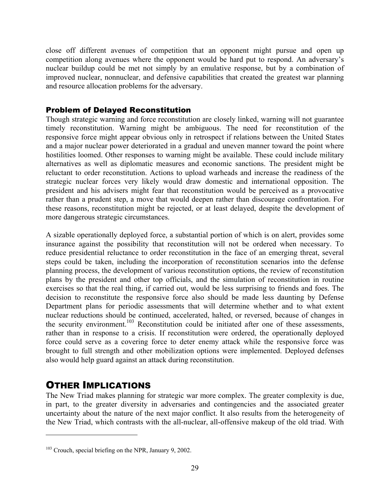close off different avenues of competition that an opponent might pursue and open up competition along avenues where the opponent would be hard put to respond. An adversary's nuclear buildup could be met not simply by an emulative response, but by a combination of improved nuclear, nonnuclear, and defensive capabilities that created the greatest war planning and resource allocation problems for the adversary.

#### Problem of Delayed Reconstitution

Though strategic warning and force reconstitution are closely linked, warning will not guarantee timely reconstitution. Warning might be ambiguous. The need for reconstitution of the responsive force might appear obvious only in retrospect if relations between the United States and a major nuclear power deteriorated in a gradual and uneven manner toward the point where hostilities loomed. Other responses to warning might be available. These could include military alternatives as well as diplomatic measures and economic sanctions. The president might be reluctant to order reconstitution. Actions to upload warheads and increase the readiness of the strategic nuclear forces very likely would draw domestic and international opposition. The president and his advisers might fear that reconstitution would be perceived as a provocative rather than a prudent step, a move that would deepen rather than discourage confrontation. For these reasons, reconstitution might be rejected, or at least delayed, despite the development of more dangerous strategic circumstances.

A sizable operationally deployed force, a substantial portion of which is on alert, provides some insurance against the possibility that reconstitution will not be ordered when necessary. To reduce presidential reluctance to order reconstitution in the face of an emerging threat, several steps could be taken, including the incorporation of reconstitution scenarios into the defense planning process, the development of various reconstitution options, the review of reconstitution plans by the president and other top officials, and the simulation of reconstitution in routine exercises so that the real thing, if carried out, would be less surprising to friends and foes. The decision to reconstitute the responsive force also should be made less daunting by Defense Department plans for periodic assessments that will determine whether and to what extent nuclear reductions should be continued, accelerated, halted, or reversed, because of changes in the security environment.<sup>103</sup> Reconstitution could be initiated after one of these assessments, rather than in response to a crisis. If reconstitution were ordered, the operationally deployed force could serve as a covering force to deter enemy attack while the responsive force was brought to full strength and other mobilization options were implemented. Deployed defenses also would help guard against an attack during reconstitution.

### OTHER IMPLICATIONS

 $\overline{a}$ 

The New Triad makes planning for strategic war more complex. The greater complexity is due, in part, to the greater diversity in adversaries and contingencies and the associated greater uncertainty about the nature of the next major conflict. It also results from the heterogeneity of the New Triad, which contrasts with the all-nuclear, all-offensive makeup of the old triad. With

<sup>&</sup>lt;sup>103</sup> Crouch, special briefing on the NPR, January 9, 2002.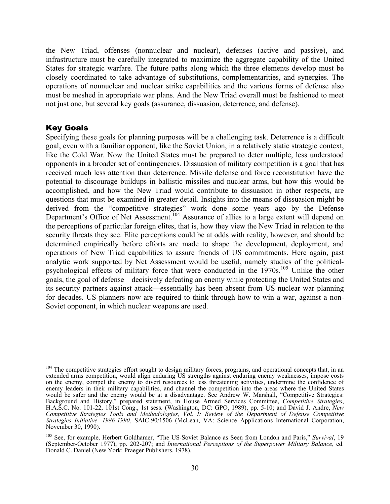the New Triad, offenses (nonnuclear and nuclear), defenses (active and passive), and infrastructure must be carefully integrated to maximize the aggregate capability of the United States for strategic warfare. The future paths along which the three elements develop must be closely coordinated to take advantage of substitutions, complementarities, and synergies. The operations of nonnuclear and nuclear strike capabilities and the various forms of defense also must be meshed in appropriate war plans. And the New Triad overall must be fashioned to meet not just one, but several key goals (assurance, dissuasion, deterrence, and defense).

#### Key Goals

 $\overline{a}$ 

Specifying these goals for planning purposes will be a challenging task. Deterrence is a difficult goal, even with a familiar opponent, like the Soviet Union, in a relatively static strategic context, like the Cold War. Now the United States must be prepared to deter multiple, less understood opponents in a broader set of contingencies. Dissuasion of military competition is a goal that has received much less attention than deterrence. Missile defense and force reconstitution have the potential to discourage buildups in ballistic missiles and nuclear arms, but how this would be accomplished, and how the New Triad would contribute to dissuasion in other respects, are questions that must be examined in greater detail. Insights into the means of dissuasion might be derived from the "competitive strategies" work done some years ago by the Defense Department's Office of Net Assessment.<sup>104</sup> Assurance of allies to a large extent will depend on the perceptions of particular foreign elites, that is, how they view the New Triad in relation to the security threats they see. Elite perceptions could be at odds with reality, however, and should be determined empirically before efforts are made to shape the development, deployment, and operations of New Triad capabilities to assure friends of US commitments. Here again, past analytic work supported by Net Assessment would be useful, namely studies of the politicalpsychological effects of military force that were conducted in the 1970s.<sup>105</sup> Unlike the other goals, the goal of defense—decisively defeating an enemy while protecting the United States and its security partners against attack—essentially has been absent from US nuclear war planning for decades. US planners now are required to think through how to win a war, against a non-Soviet opponent, in which nuclear weapons are used.

<sup>&</sup>lt;sup>104</sup> The competitive strategies effort sought to design military forces, programs, and operational concepts that, in an extended arms competition, would align enduring US strengths against enduring enemy weaknesses, impose costs on the enemy, compel the enemy to divert resources to less threatening activities, undermine the confidence of enemy leaders in their military capabilities, and channel the competition into the areas where the United States would be safer and the enemy would be at a disadvantage. See Andrew W. Marshall, "Competitive Strategies: Background and History," prepared statement, in House Armed Services Committee, Competitive Strategies, H.A.S.C. No. 101-22, 101st Cong., 1st sess. (Washington, DC: GPO, 1989), pp. 5-10; and David J. Andre, New *Competitive Strategies Tools and Methodologies, Vol. I: Review of the Department of Defense Competitive Strategies Initiative, 1986-1990*, SAIC-90/1506 (McLean, VA: Science Applications International Corporation, November 30, 1990).

<sup>105</sup> See, for example, Herbert Goldhamer, "The US-Soviet Balance as Seen from London and Paris," *Survival*, 19 (September-October 1977), pp. 202-207; and *International Perceptions of the Superpower Military Balance*, ed. Donald C. Daniel (New York: Praeger Publishers, 1978).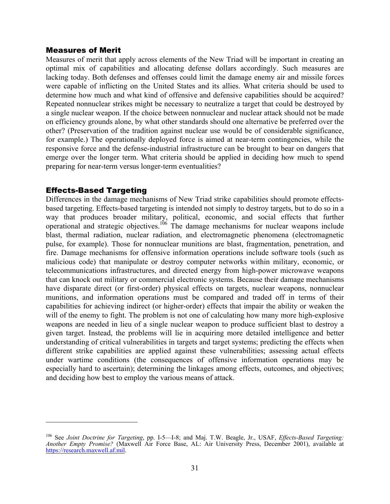#### Measures of Merit

Measures of merit that apply across elements of the New Triad will be important in creating an optimal mix of capabilities and allocating defense dollars accordingly. Such measures are lacking today. Both defenses and offenses could limit the damage enemy air and missile forces were capable of inflicting on the United States and its allies. What criteria should be used to determine how much and what kind of offensive and defensive capabilities should be acquired? Repeated nonnuclear strikes might be necessary to neutralize a target that could be destroyed by a single nuclear weapon. If the choice between nonnuclear and nuclear attack should not be made on efficiency grounds alone, by what other standards should one alternative be preferred over the other? (Preservation of the tradition against nuclear use would be of considerable significance, for example.) The operationally deployed force is aimed at near-term contingencies, while the responsive force and the defense-industrial infrastructure can be brought to bear on dangers that emerge over the longer term. What criteria should be applied in deciding how much to spend preparing for near-term versus longer-term eventualities?

#### Effects-Based Targeting

1

Differences in the damage mechanisms of New Triad strike capabilities should promote effectsbased targeting. Effects-based targeting is intended not simply to destroy targets, but to do so in a way that produces broader military, political, economic, and social effects that further operational and strategic objectives.<sup>106</sup> The damage mechanisms for nuclear weapons include blast, thermal radiation, nuclear radiation, and electromagnetic phenomena (electromagnetic pulse, for example). Those for nonnuclear munitions are blast, fragmentation, penetration, and fire. Damage mechanisms for offensive information operations include software tools (such as malicious code) that manipulate or destroy computer networks within military, economic, or telecommunications infrastructures, and directed energy from high-power microwave weapons that can knock out military or commercial electronic systems. Because their damage mechanisms have disparate direct (or first-order) physical effects on targets, nuclear weapons, nonnuclear munitions, and information operations must be compared and traded off in terms of their capabilities for achieving indirect (or higher-order) effects that impair the ability or weaken the will of the enemy to fight. The problem is not one of calculating how many more high-explosive weapons are needed in lieu of a single nuclear weapon to produce sufficient blast to destroy a given target. Instead, the problems will lie in acquiring more detailed intelligence and better understanding of critical vulnerabilities in targets and target systems; predicting the effects when different strike capabilities are applied against these vulnerabilities; assessing actual effects under wartime conditions (the consequences of offensive information operations may be especially hard to ascertain); determining the linkages among effects, outcomes, and objectives; and deciding how best to employ the various means of attack.

<sup>106</sup> See *Joint Doctrine for Targeting*, pp. I-5—I-8; and Maj. T.W. Beagle, Jr., USAF, *Effects-Based Targeting: Another Empty Promise?* (Maxwell Air Force Base, AL: Air University Press, December 2001), available at https://research.maxwell.af.mil.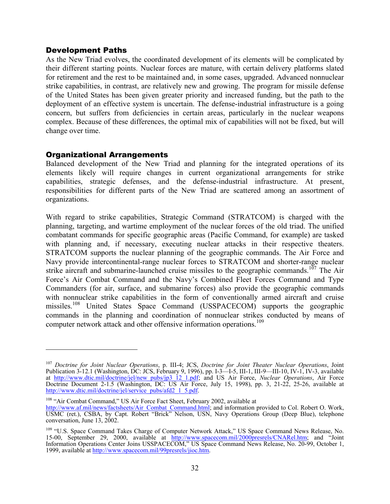#### Development Paths

As the New Triad evolves, the coordinated development of its elements will be complicated by their different starting points. Nuclear forces are mature, with certain delivery platforms slated for retirement and the rest to be maintained and, in some cases, upgraded. Advanced nonnuclear strike capabilities, in contrast, are relatively new and growing. The program for missile defense of the United States has been given greater priority and increased funding, but the path to the deployment of an effective system is uncertain. The defense-industrial infrastructure is a going concern, but suffers from deficiencies in certain areas, particularly in the nuclear weapons complex. Because of these differences, the optimal mix of capabilities will not be fixed, but will change over time.

#### Organizational Arrangements

 $\overline{a}$ 

Balanced development of the New Triad and planning for the integrated operations of its elements likely will require changes in current organizational arrangements for strike capabilities, strategic defenses, and the defense-industrial infrastructure. At present, responsibilities for different parts of the New Triad are scattered among an assortment of organizations.

With regard to strike capabilities, Strategic Command (STRATCOM) is charged with the planning, targeting, and wartime employment of the nuclear forces of the old triad. The unified combatant commands for specific geographic areas (Pacific Command, for example) are tasked with planning and, if necessary, executing nuclear attacks in their respective theaters. STRATCOM supports the nuclear planning of the geographic commands. The Air Force and Navy provide intercontinental-range nuclear forces to STRATCOM and shorter-range nuclear strike aircraft and submarine-launched cruise missiles to the geographic commands.<sup>107</sup> The Air Force's Air Combat Command and the Navy's Combined Fleet Forces Command and Type Commanders (for air, surface, and submarine forces) also provide the geographic commands with nonnuclear strike capabilities in the form of conventionally armed aircraft and cruise missiles.<sup>108</sup> United States Space Command (USSPACECOM) supports the geographic commands in the planning and coordination of nonnuclear strikes conducted by means of computer network attack and other offensive information operations.<sup>109</sup>

<sup>107</sup> *Doctrine for Joint Nuclear Operations*, p. III-4; JCS, *Doctrine for Joint Theater Nuclear Operations*, Joint Publication 3-12.1 (Washington, DC: JCS, February 9, 1996), pp. I-3—I-5, III-1, III-9—III-10, IV-1, IV-3, available at http://www.dtic.mil/doctrine/jel/new\_pubs/jp3\_12\_1.pdf; and US Air Force, *Nuclear Operations*, Air Force Doctrine Document 2-1.5 (Washington, DC: US Air Force, July 15, 1998), pp. 3, 21-22, 25-26, available at http://www.dtic.mil/doctrine/jel/service\_pubs/afd2\_1\_5.pdf.

<sup>108 &</sup>quot;Air Combat Command," US Air Force Fact Sheet, February 2002, available at

http://www.af.mil/news/factsheets/Air\_Combat\_Command.html; and information provided to Col. Robert O. Work, USMC (ret.), CSBA, by Capt. Robert "Brick" Nelson, USN, Navy Operations Group (Deep Blue), telephone conversation, June 13, 2002.

<sup>&</sup>lt;sup>109</sup> "U.S. Space Command Takes Charge of Computer Network Attack," US Space Command News Release, No. 15-00, September 29, 2000, available at http://www.spacecom.mil/2000presrels/CNARel.htm; and "Joint Information Operations Center Joins USSPACECOM," US Space Command News Release, No. 20-99, October 1, 1999, available at http://www.spacecom.mil/99presrels/jioc.htm.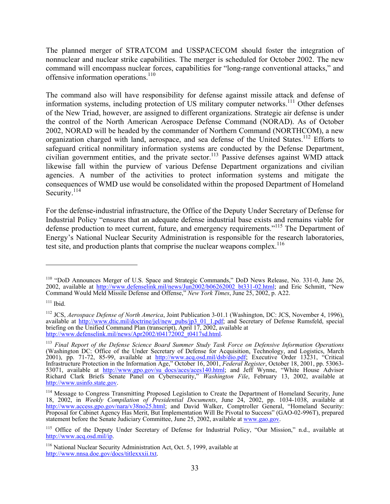The planned merger of STRATCOM and USSPACECOM should foster the integration of nonnuclear and nuclear strike capabilities. The merger is scheduled for October 2002. The new command will encompass nuclear forces, capabilities for "long-range conventional attacks," and offensive information operations.<sup>110</sup>

The command also will have responsibility for defense against missile attack and defense of information systems, including protection of US military computer networks.<sup>111</sup> Other defenses of the New Triad, however, are assigned to different organizations. Strategic air defense is under the control of the North American Aerospace Defense Command (NORAD). As of October 2002, NORAD will be headed by the commander of Northern Command (NORTHCOM), a new organization charged with land, aerospace, and sea defense of the United States.<sup>112</sup> Efforts to safeguard critical nonmilitary information systems are conducted by the Defense Department, civilian government entities, and the private sector.<sup>113</sup> Passive defenses against WMD attack likewise fall within the purview of various Defense Department organizations and civilian agencies. A number of the activities to protect information systems and mitigate the consequences of WMD use would be consolidated within the proposed Department of Homeland Security.<sup>114</sup>

For the defense-industrial infrastructure, the Office of the Deputy Under Secretary of Defense for Industrial Policy "ensures that an adequate defense industrial base exists and remains viable for defense production to meet current, future, and emergency requirements."<sup>115</sup> The Department of Energy's National Nuclear Security Administration is responsible for the research laboratories, test site, and production plants that comprise the nuclear weapons complex.<sup>116</sup>

<sup>&</sup>lt;sup>110</sup> "DoD Announces Merger of U.S. Space and Strategic Commands," DoD News Release, No. 331-0, June 26, 2002, available at http://www.defenselink.mil/news/Jun2002/b06262002\_bt331-02.html; and Eric Schmitt, "New Command Would Meld Missile Defense and Offense," *New York Times*, June 25, 2002, p. A22.

 $111$  Ibid.

<sup>&</sup>lt;sup>112</sup> JCS, *Aerospace Defense of North America*, Joint Publication 3-01.1 (Washington, DC: JCS, November 4, 1996), available at http://www.dtic.mil/doctrine/jel/new\_pubs/jp3\_01\_1.pdf; and Secretary of Defense Rumsfeld, special briefing on the Unified Command Plan (transcript), April  $17, 2002$ , available at http://www.defenselink.mil/news/Apr2002/t04172002\_t0417sd.html.

<sup>113</sup> *Final Report of the Defense Science Board Summer Study Task Force on Defensive Information Operations* (Washington DC: Office of the Under Secretary of Defense for Acquisition, Technology, and Logistics, March 2001), pp. 71-72, 85-99, available at http://www.acq.osd.mil/dsb/dio.pdf; Executive Order 13231, "Critical Infrastructure Protection in the Information Age," October 16, 2001, *Federal Register*, October 18, 2001, pp. 53063- 53071, available at http://www.gpo.gov/su docs/aces/aces140.html; and Jeff Wynne, "White House Advisor Richard Clark Briefs Senate Panel on Cybersecurity," *Washington File*, February 13, 2002, available at http://www.usinfo.state.gov.

<sup>&</sup>lt;sup>114</sup> Message to Congress Transmitting Proposed Legislation to Create the Department of Homeland Security, June 18, 2002, in *Weekly Compilation of Presidential Documents*, June 24, 2002, pp. 1034-1038, available at http://www.access.gpo.gov/nara/v38no25.html; and David Walker, Comptroller General, "Homeland Security: Proposal for Cabinet Agency Has Merit, But Implementation Will Be Pivotal to Success" (GAO-02-996T), prepared statement before the Senate Judiciary Committee, June 25, 2002, available at www.gao.gov.

<sup>&</sup>lt;sup>115</sup> Office of the Deputy Under Secretary of Defense for Industrial Policy, "Our Mission," n.d., available at http://www.acq.osd.mil/ip.

<sup>&</sup>lt;sup>116</sup> National Nuclear Security Administration Act, Oct. 5, 1999, available at http://www.nnsa.doe.gov/docs/titlexxxii.txt.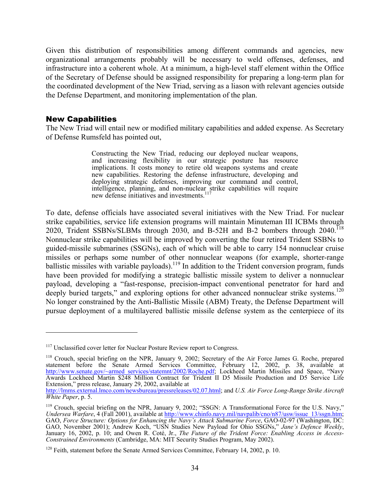Given this distribution of responsibilities among different commands and agencies, new organizational arrangements probably will be necessary to weld offenses, defenses, and infrastructure into a coherent whole. At a minimum, a high-level staff element within the Office of the Secretary of Defense should be assigned responsibility for preparing a long-term plan for the coordinated development of the New Triad, serving as a liason with relevant agencies outside the Defense Department, and monitoring implementation of the plan.

#### New Capabilities

1

The New Triad will entail new or modified military capabilities and added expense. As Secretary of Defense Rumsfeld has pointed out,

> Constructing the New Triad, reducing our deployed nuclear weapons, and increasing flexibility in our strategic posture has resource implications. It costs money to retire old weapons systems and create new capabilities. Restoring the defense infrastructure, developing and deploying strategic defenses, improving our command and control, intelligence, planning, and non-nuclear strike capabilities will require new defense initiatives and investments.<sup>117</sup>

To date, defense officials have associated several initiatives with the New Triad. For nuclear strike capabilities, service life extension programs will maintain Minuteman III ICBMs through 2020, Trident SSBNs/SLBMs through 2030, and B-52H and B-2 bombers through 2040.<sup>118</sup> Nonnuclear strike capabilities will be improved by converting the four retired Trident SSBNs to guided-missile submarines (SSGNs), each of which will be able to carry 154 nonnuclear cruise missiles or perhaps some number of other nonnuclear weapons (for example, shorter-range ballistic missiles with variable payloads).<sup>119</sup> In addition to the Trident conversion program, funds have been provided for modifying a strategic ballistic missile system to deliver a nonnuclear payload, developing a "fast-response, precision-impact conventional penetrator for hard and deeply buried targets," and exploring options for other advanced nonnuclear strike systems.<sup>120</sup> No longer constrained by the Anti-Ballistic Missile (ABM) Treaty, the Defense Department will pursue deployment of a multilayered ballistic missile defense system as the centerpiece of its

<sup>&</sup>lt;sup>117</sup> Unclassified cover letter for Nuclear Posture Review report to Congress.

<sup>&</sup>lt;sup>118</sup> Crouch, special briefing on the NPR, January 9, 2002; Secretary of the Air Force James G. Roche, prepared statement before the Senate Armed Services Committee, February 12, 2002, p. 38, available at http://www.senate.gov/~armed\_services/statemnt/2002/Roche.pdf; Lockheed Martin Missiles and Space, "Navy Awards Lockheed Martin \$248 Million Contract for Trident II D5 Missile Production and D5 Service Life Extension," press release, January 29, 2002, available at

http://lmms.external.lmco.com/newsbureau/pressreleases/02.07.html; and *U.S. Air Force Long-Range Strike Aircraft White Paper*, p. 5.

<sup>&</sup>lt;sup>119</sup> Crouch, special briefing on the NPR, January 9, 2002; "SSGN: A Transformational Force for the U.S. Navy," *Undersea Warfare*, 4 (Fall 2001), available at http://www.chinfo.navy.mil/navpalib/cno/n87/usw/issue\_13/ssgn.htm; GAO, *Force Structure: Options for Enhancing the Navy's Attack Submarine Force*, GAO-02-97 (Washington, DC: GAO, November 2001); Andrew Koch, "USN Studies New Payload for Ohio SSGNs," *Jane's Defence Weekly*, January 16, 2002, p. 10; and Owen R. Coté, Jr., *The Future of the Trident Force: Enabling Access in Access-Constrained Environments* (Cambridge, MA: MIT Security Studies Program, May 2002).

 $120$  Feith, statement before the Senate Armed Services Committee, February 14, 2002, p. 10.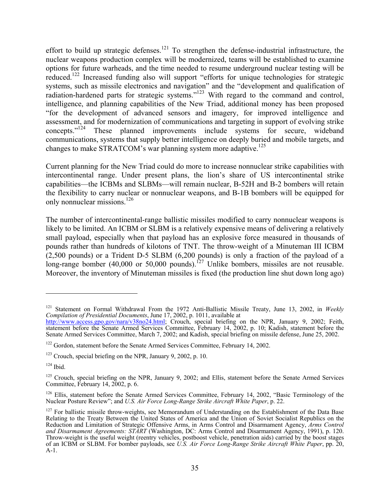effort to build up strategic defenses.<sup>121</sup> To strengthen the defense-industrial infrastructure, the nuclear weapons production complex will be modernized, teams will be established to examine options for future warheads, and the time needed to resume underground nuclear testing will be reduced.<sup>122</sup> Increased funding also will support "efforts for unique technologies for strategic systems, such as missile electronics and navigation" and the "development and qualification of radiation-hardened parts for strategic systems."<sup>123</sup> With regard to the command and control, intelligence, and planning capabilities of the New Triad, additional money has been proposed "for the development of advanced sensors and imagery, for improved intelligence and assessment, and for modernization of communications and targeting in support of evolving strike concepts."124 These planned improvements include systems for secure, wideband communications, systems that supply better intelligence on deeply buried and mobile targets, and changes to make STRATCOM's war planning system more adaptive.<sup>125</sup>

Current planning for the New Triad could do more to increase nonnuclear strike capabilities with intercontinental range. Under present plans, the lion's share of US intercontinental strike capabilities—the ICBMs and SLBMs—will remain nuclear, B-52H and B-2 bombers will retain the flexibility to carry nuclear or nonnuclear weapons, and B-1B bombers will be equipped for only nonnuclear missions.126

The number of intercontinental-range ballistic missiles modified to carry nonnuclear weapons is likely to be limited. An ICBM or SLBM is a relatively expensive means of delivering a relatively small payload, especially when that payload has an explosive force measured in thousands of pounds rather than hundreds of kilotons of TNT. The throw-weight of a Minuteman III ICBM (2,500 pounds) or a Trident D-5 SLBM (6,200 pounds) is only a fraction of the payload of a long-range bomber (40,000 or 50,000 pounds).<sup>127</sup> Unlike bombers, missiles are not reusable. Moreover, the inventory of Minuteman missiles is fixed (the production line shut down long ago)

<sup>121</sup> Statement on Formal Withdrawal From the 1972 Anti-Ballistic Missile Treaty, June 13, 2002, in *Weekly Compilation of Presidential Documents*, June 17, 2002, p. 1011, available at

http://www.access.gpo.gov/nara/v38no24.html; Crouch, special briefing on the NPR, January 9, 2002; Feith, statement before the Senate Armed Services Committee, February 14, 2002, p. 10; Kadish, statement before the Senate Armed Services Committee, March 7, 2002; and Kadish, special briefing on missile defense, June 25, 2002.

<sup>&</sup>lt;sup>122</sup> Gordon, statement before the Senate Armed Services Committee, February 14, 2002.

 $123$  Crouch, special briefing on the NPR, January 9, 2002, p. 10.

 $124$  Ibid.

<sup>&</sup>lt;sup>125</sup> Crouch, special briefing on the NPR, January 9, 2002; and Ellis, statement before the Senate Armed Services Committee, February 14, 2002, p. 6.

<sup>&</sup>lt;sup>126</sup> Ellis, statement before the Senate Armed Services Committee, February 14, 2002, "Basic Terminology of the Nuclear Posture Review"; and *U.S. Air Force Long-Range Strike Aircraft White Paper*, p. 22.

<sup>&</sup>lt;sup>127</sup> For ballistic missile throw-weights, see Memorandum of Understanding on the Establishment of the Data Base Relating to the Treaty Between the United States of America and the Union of Soviet Socialist Republics on the Reduction and Limitation of Strategic Offensive Arms, in Arms Control and Disarmament Agency, *Arms Control and Disarmament Agreements: START* (Washington, DC: Arms Control and Disarmament Agency, 1991), p. 120. Throw-weight is the useful weight (reentry vehicles, postboost vehicle, penetration aids) carried by the boost stages of an ICBM or SLBM. For bomber payloads, see *U.S. Air Force Long-Range Strike Aircraft White Paper*, pp. 20, A-1.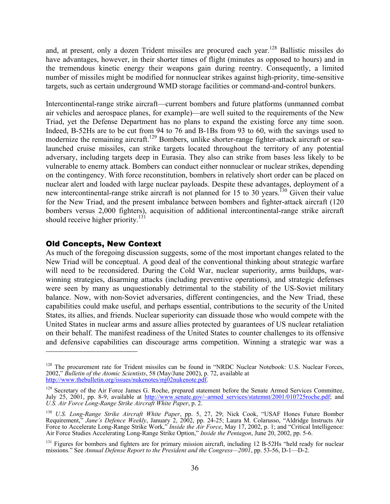and, at present, only a dozen Trident missiles are procured each year.<sup>128</sup> Ballistic missiles do have advantages, however, in their shorter times of flight (minutes as opposed to hours) and in the tremendous kinetic energy their weapons gain during reentry. Consequently, a limited number of missiles might be modified for nonnuclear strikes against high-priority, time-sensitive targets, such as certain underground WMD storage facilities or command-and-control bunkers.

Intercontinental-range strike aircraft—current bombers and future platforms (unmanned combat air vehicles and aerospace planes, for example)—are well suited to the requirements of the New Triad, yet the Defense Department has no plans to expand the existing force any time soon. Indeed, B-52Hs are to be cut from 94 to 76 and B-1Bs from 93 to 60, with the savings used to modernize the remaining aircraft.<sup>129</sup> Bombers, unlike shorter-range fighter-attack aircraft or sealaunched cruise missiles, can strike targets located throughout the territory of any potential adversary, including targets deep in Eurasia. They also can strike from bases less likely to be vulnerable to enemy attack. Bombers can conduct either nonnuclear or nuclear strikes, depending on the contingency. With force reconstitution, bombers in relatively short order can be placed on nuclear alert and loaded with large nuclear payloads. Despite these advantages, deployment of a new intercontinental-range strike aircraft is not planned for 15 to 30 years.<sup>130</sup> Given their value for the New Triad, and the present imbalance between bombers and fighter-attack aircraft (120 bombers versus 2,000 fighters), acquisition of additional intercontinental-range strike aircraft should receive higher priority.<sup>131</sup>

#### Old Concepts, New Context

 $\overline{a}$ 

As much of the foregoing discussion suggests, some of the most important changes related to the New Triad will be conceptual. A good deal of the conventional thinking about strategic warfare will need to be reconsidered. During the Cold War, nuclear superiority, arms buildups, warwinning strategies, disarming attacks (including preventive operations), and strategic defenses were seen by many as unquestionably detrimental to the stability of the US-Soviet military balance. Now, with non-Soviet adversaries, different contingencies, and the New Triad, these capabilities could make useful, and perhaps essential, contributions to the security of the United States, its allies, and friends. Nuclear superiority can dissuade those who would compete with the United States in nuclear arms and assure allies protected by guarantees of US nuclear retaliation on their behalf. The manifest readiness of the United States to counter challenges to its offensive and defensive capabilities can discourage arms competition. Winning a strategic war was a

<sup>&</sup>lt;sup>128</sup> The procurement rate for Trident missiles can be found in "NRDC Nuclear Notebook: U.S. Nuclear Forces, 2002," *Bulletin of the Atomic Scientists*, 58 (May/June 2002), p. 72, available at http://www.thebulletin.org/issues/nukenotes/mj02nukenote.pdf.

<sup>&</sup>lt;sup>129</sup> Secretary of the Air Force James G. Roche, prepared statement before the Senate Armed Services Committee, July 25, 2001, pp. 8-9, available at http://www.senate.gov/~armed\_services/statemnt/2001/010725roche.pdf; and *U.S. Air Force Long-Range Strike Aircraft White Paper*, p. 2.

<sup>130</sup> *U.S. Long-Range Strike Aircraft White Paper*, pp. 5, 27, 29; Nick Cook, "USAF Hones Future Bomber Requirement," *Jane's Defence Weekly*, January 2, 2002, pp. 24-25; Laura M. Colarusso, "Aldridge Instructs Air Force to Accelerate Long-Range Strike Work," *Inside the Air Force*, May 17, 2002, p. 1; and "Critical Intelligence: Air Force Studies Accelerating Long-Range Strike Option," *Inside the Pentagon*, June 20, 2002, pp. 5-6.

<sup>&</sup>lt;sup>131</sup> Figures for bombers and fighters are for primary mission aircraft, including 12 B-52Hs "held ready for nuclear missions." See *Annual Defense Report to the President and the Congress—2001*, pp. 53-56, D-1—D-2.